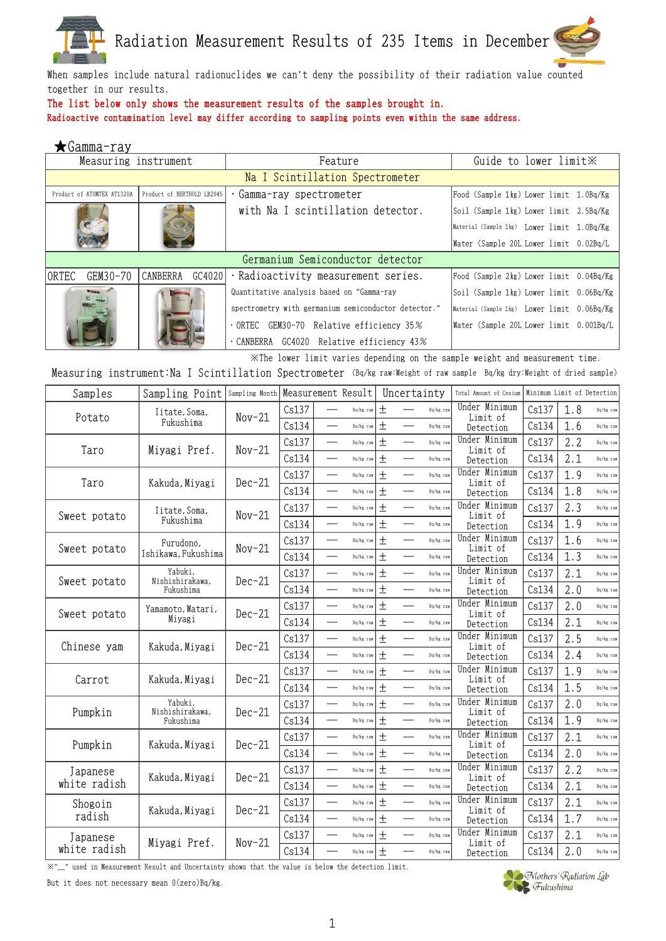

When samples include natural radionuclides we can't deny the possibility of their radiation value counted together in our results.

## The list below only shows the measurement results of the samples brought in.

Radioactive contamination level may differ according to sampling points even within the same address.

| $\bigstar$ Gamma-ray       |                            |                                                      |                                             |
|----------------------------|----------------------------|------------------------------------------------------|---------------------------------------------|
| Measuring instrument       |                            | Feature                                              | Guide to lower limit XX                     |
|                            |                            | Na I Scintillation Spectrometer                      |                                             |
| Product of ATOMTEX AT1320A | Product of BERTHOLD LB2045 | Gamma-ray spectrometer                               | Food (Sample 1kg) Lower limit 1.0Bq/Kg      |
|                            |                            | with Na I scintillation detector.                    | Soil (Sample 1kg) Lower limit 2.5Bq/Kg      |
|                            |                            |                                                      | Material (Sample 1kg) Lower limit 1.0Bq/Kg  |
|                            |                            |                                                      | Water (Sample 20L Lower limit 0.02Bq/L      |
|                            |                            | Germanium Semiconductor detector                     |                                             |
| ORTEC<br>GEM30-70          | CANBERRA<br>GC4020         | · Radioactivity measurement series.                  | Food (Sample 2kg) Lower limit 0.04Bq/Kg     |
|                            |                            | Quantitative analysis based on "Gamma-ray            | Soil (Sample 1kg) Lower limit 0.06Bq/Kg     |
|                            |                            | spectrometry with germanium semiconductor detector." | Material (Sample 1kg) Lower limit 0.06Bq/Kg |
|                            |                            | 0RTEC GEM30-70 Relative efficiency 35%               | Water (Sample 20L Lower limit 0.001Bq/L     |
|                            |                            | . CANBERRA GC4020 Relative efficiency 43%            |                                             |

※The lower limit varies depending on the sample weight and measurement time.

Measuring instrument:Na I Scintillation Spectrometer (Bq/kg raw:Weight of raw sample Bq/kg dry:Weight of dried sample)

| Samples      | Sampling Point             | Sampling Month |       |                          | Measurement Result |        | Uncertainty              |           | Total Amount of Cesium    | Minimum Limit of Detection |     |           |
|--------------|----------------------------|----------------|-------|--------------------------|--------------------|--------|--------------------------|-----------|---------------------------|----------------------------|-----|-----------|
| Potato       | Iitate, Soma,              | $Nov-21$       | Cs137 |                          | Bq/kg raw          | $^{+}$ |                          | Bq/kg raw | Under Minimum<br>Limit of | Cs137                      | 1.8 | Bq/kg raw |
|              | Fukushima                  |                | Cs134 |                          | Bq/kg raw          | $\pm$  |                          | Bq/kg raw | Detection                 | Cs134                      | 1.6 | Bq/kg raw |
| Taro         |                            | $Nov-21$       | Cs137 |                          | Bq/kg raw          | $\pm$  |                          | Bq/kg raw | Under Minimum<br>Limit of | Cs137                      | 2.2 | Bq/kg raw |
|              | Miyagi Pref.               |                | Cs134 |                          | Bq/kg raw          | $\pm$  |                          | Bq/kg raw | Detection                 | Cs134                      | 2.1 | Bq/kg raw |
| Taro         | Kakuda, Miyagi             | $Dec-21$       | Cs137 |                          | Bq/kg raw          | $\pm$  |                          | Bq/kg raw | Under Minimum<br>Limit of | Cs137                      | 1.9 | Bq/kg raw |
|              |                            |                | Cs134 | $\overline{\phantom{0}}$ | Bq/kg raw          | $\pm$  | $\overline{\phantom{0}}$ | Bq/kg raw | Detection                 | Cs134                      | 1.8 | Bq/kg raw |
|              | Iitate, Soma,              | $Nov-21$       | Cs137 |                          | Bq/kg raw          | $\pm$  |                          | Bq/kg raw | Under Minimum<br>Limit of | Cs137                      | 2.3 | Bq/kg raw |
| Sweet potato | Fukushima                  |                | Cs134 |                          | Bq/kg raw          | $\pm$  |                          | Bq/kg raw | Detection                 | Cs134                      | 1.9 | Bq/kg raw |
| Sweet potato | Furudono,                  | $Nov-21$       | Cs137 |                          | Bq/kg raw          | $\pm$  |                          | Bq/kg raw | Under Minimum<br>Limit of | Cs137                      | 1.6 | Bq/kg raw |
|              | Ishikawa, Fukushima        |                | Cs134 |                          | Bq/kg raw          | $^{+}$ |                          | Bq/kg raw | Detection                 | Cs134                      | 1.3 | Bq/kg raw |
| Sweet potato | Yabuki.<br>Nishishirakawa, | $Dec-21$       | Cs137 |                          | Bq/kg raw          | $\pm$  |                          | Bq/kg raw | Under Minimum<br>Limit of | Cs137                      | 2.1 | Bq/kg raw |
|              | Fukushima                  |                | Cs134 |                          | Bq/kg raw          | $\pm$  |                          | Bq/kg raw | Detection                 | Cs134                      | 2.0 | Bq/kg raw |
| Sweet potato | Yamamoto, Watari,          | $Dec-21$       | Cs137 |                          | Bq/kg raw          | $\pm$  |                          | Ba/kg raw | Under Minimum<br>Limit of | Cs137                      | 2.0 | Bq/kg raw |
|              | Miyagi                     |                | Cs134 |                          | Bq/kg raw          | $\pm$  |                          | Bq/kg raw | Detection                 | Cs134                      | 2.1 | Bq/kg raw |
| Chinese yam  | Kakuda, Miyagi             | $Dec-21$       | Cs137 | $\overline{\phantom{0}}$ | Bq/kg raw          | $\pm$  |                          | Bq/kg raw | Under Minimum<br>Limit of | Cs137                      | 2.5 | Bq/kg raw |
|              |                            |                | Cs134 | $\overline{\phantom{0}}$ | Bq/kg raw          | $\pm$  | $\overline{\phantom{0}}$ | Bq/kg raw | Detection                 | Cs134                      | 2.4 | Bq/kg raw |
| Carrot       | Kakuda, Miyagi             | $Dec-21$       | Cs137 |                          | Bq/kg raw          | $\pm$  | $\overline{\phantom{0}}$ | Bq/kg raw | Under Minimum<br>Limit of | Cs137                      | 1.9 | Bq/kg raw |
|              |                            |                | Cs134 | $\overline{\phantom{0}}$ | Bq/kg raw          | $\pm$  |                          | Bq/kg raw | Detection                 | Cs134                      | 1.5 | Bq/kg raw |
| Pumpkin      | Yabuki,<br>Nishishirakawa, | $Dec-21$       | Cs137 | $\overline{\phantom{0}}$ | Bq/kg raw          | $\pm$  | $\overline{\phantom{a}}$ | Bq/kg raw | Under Minimum<br>Limit of | Cs137                      | 2.0 | Bq/kg raw |
|              | Fukushima                  |                | Cs134 |                          | Bq/kg raw          | $\pm$  |                          | Bq/kg raw | Detection                 | Cs134                      | 1.9 | Bq/kg raw |
| Pumpkin      | Kakuda, Miyagi             | $Dec-21$       | Cs137 |                          | Bq/kg raw          | $\pm$  |                          | Bq/kg raw | Under Minimum<br>Limit of | Cs137                      | 2.1 | Bq/kg raw |
|              |                            |                | Cs134 |                          | Bq/kg raw          | 土      |                          | Bq/kg raw | Detection                 | Cs134                      | 2.0 | Bq/kg raw |
| Japanese     | Kakuda, Miyagi             | $Dec-21$       | Cs137 | $\overline{\phantom{0}}$ | Bq/kg raw          | $\pm$  | $\overline{\phantom{a}}$ | Bq/kg raw | Under Minimum<br>Limit of | Cs137                      | 2.2 | Bq/kg raw |
| white radish |                            |                | Cs134 |                          | Bq/kg raw          | $^{+}$ |                          | Bq/kg raw | Detection                 | Cs134                      | 2.1 | Bq/kg raw |
| Shogoin      | Kakuda, Miyagi             | $Dec-21$       | Cs137 |                          | Bq/kg raw          | $\pm$  |                          | Bq/kg raw | Under Minimum<br>Limit of | Cs137                      | 2.1 | Bq/kg raw |
| radish       |                            |                | Cs134 | $\overline{\phantom{0}}$ | Bq/kg raw          | $\pm$  |                          | Bq/kg raw | Detection                 | Cs134                      | 1.7 | Bq/kg raw |
| Japanese     | Miyagi Pref.               | $Nov-21$       | Cs137 |                          | Bq/kg raw          | $\pm$  |                          | Bq/kg raw | Under Minimum<br>Limit of | Cs137                      | 2.1 | Bq/kg raw |
| white radish |                            |                | Cs134 |                          | Bq/kg raw          | $\pm$  |                          | Bq/kg raw | Detection                 | Cs134                      | 2.0 | Bq/kg raw |

※"\_" used in Measurement Result and Uncertainty shows that the value is below the detection limit.

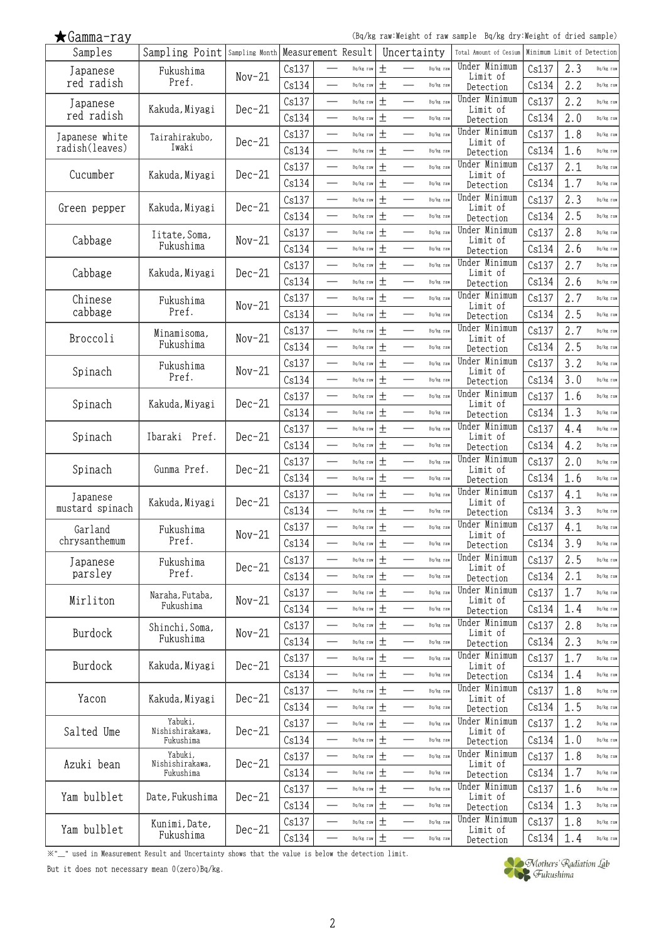(Bq/kg raw:Weight of raw sample Bq/kg dry:Weight of dried sample)

| Samples             | Sampling Point Sampling Month Measurement Result |          |       |                          |           |       | Uncertainty              |           | Total Amount of Cesium     | Minimum Limit of Detection |     |           |
|---------------------|--------------------------------------------------|----------|-------|--------------------------|-----------|-------|--------------------------|-----------|----------------------------|----------------------------|-----|-----------|
| Japanese            | Fukushima                                        |          | Cs137 |                          | Bq/kg raw | $\pm$ |                          | Bq/kg raw | Under Minimum              | Cs137                      | 2.3 | Bq/kg raw |
| red radish          | Pref.                                            | $Nov-21$ | Cs134 | $\overline{\phantom{0}}$ | Bq/kg raw | $\pm$ |                          | Bq/kg raw | Limit of<br>Detection      | Cs134                      | 2.2 | Bq/kg raw |
| Japanese            |                                                  |          | Cs137 |                          | Bq/kg raw | $\pm$ |                          | Bq/kg raw | Under Minimum              | Cs137                      | 2.2 | Bq/kg raw |
| red radish          | Kakuda, Miyagi                                   | $Dec-21$ | Cs134 | $\overline{\phantom{0}}$ | Bq/kg raw | $\pm$ |                          | Bq/kg raw | Limit of<br>Detection      | Cs134                      | 2.0 | Bq/kg raw |
| Japanese white      |                                                  |          | Cs137 |                          | Bq/kg raw | $\pm$ |                          | Bq/kg raw | Under Minimum              | Cs137                      | 1.8 | Bq/kg raw |
| radish(leaves)      | Tairahirakubo,<br>Iwaki                          | $Dec-21$ | Cs134 |                          | Bq/kg raw | $\pm$ |                          | Bq/kg raw | Limit of                   | Cs134                      | 1.6 | Bq/kg raw |
|                     |                                                  |          |       | $\overline{\phantom{0}}$ |           |       |                          |           | Detection<br>Under Minimum |                            | 2.1 |           |
| Cucumber            | Kakuda, Miyagi                                   | $Dec-21$ | Cs137 |                          | Bq/kg raw | $\pm$ |                          | Bq/kg raw | Limit of                   | Cs137                      |     | Bq/kg raw |
|                     |                                                  |          | Cs134 |                          | Bq/kg raw | $\pm$ |                          | Bq/kg raw | Detection                  | Cs134                      | 1.7 | Bq/kg raw |
| Green pepper        | Kakuda, Miyagi                                   | $Dec-21$ | Cs137 | $\overline{\phantom{0}}$ | Bq/kg raw | $\pm$ | $\overline{\phantom{0}}$ | Bq/kg raw | Under Minimum<br>Limit of  | Cs137                      | 2.3 | Bq/kg raw |
|                     |                                                  |          | Cs134 |                          | Bq/kg raw | $\pm$ |                          | Bq/kg raw | Detection                  | Cs134                      | 2.5 | Bq/kg raw |
| Cabbage             | Iitate, Soma,                                    | $Nov-21$ | Cs137 | $\overline{\phantom{a}}$ | Bq/kg raw | $\pm$ | $\overline{\phantom{0}}$ | Bq/kg raw | Under Minimum<br>Limit of  | Cs137                      | 2.8 | Bq/kg raw |
|                     | Fukushima                                        |          | Cs134 |                          | Bq/kg raw | $\pm$ |                          | Bq/kg raw | Detection                  | Cs134                      | 2.6 | Bq/kg raw |
|                     |                                                  |          | Cs137 |                          | Bq/kg raw | $\pm$ |                          | Bq/kg raw | Under Minimum              | Cs137                      | 2.7 | Bq/kg raw |
| Cabbage             | Kakuda, Miyagi                                   | $Dec-21$ | Cs134 |                          | Bq/kg raw | $\pm$ |                          | Bq/kg raw | Limit of<br>Detection      | Cs134                      | 2.6 | Bq/kg raw |
| Chinese             | Fukushima                                        |          | Cs137 |                          | Bq/kg raw | $\pm$ |                          | Bq/kg raw | Under Minimum              | Cs137                      | 2.7 | Bq/kg raw |
| cabbage             | Pref.                                            | $Nov-21$ | Cs134 | $\overline{\phantom{0}}$ | Bq/kg raw | $\pm$ |                          | Bq/kg raw | Limit of<br>Detection      | Cs134                      | 2.5 | Bq/kg raw |
|                     |                                                  |          | Cs137 |                          | Bq/kg raw | $\pm$ |                          | Bq/kg raw | Under Minimum              | Cs137                      | 2.7 | Bq/kg raw |
| Broccoli            | Minamisoma,<br>Fukushima                         | $Nov-21$ | Cs134 | $\overline{\phantom{0}}$ | Bq/kg raw | $\pm$ | $\overline{\phantom{0}}$ | Bq/kg raw | Limit of                   | Cs134                      | 2.5 | Bq/kg raw |
|                     |                                                  |          |       |                          |           | $\pm$ |                          | Bq/kg raw | Detection<br>Under Minimum | Cs137                      | 3.2 | Bq/kg raw |
| Spinach             | Fukushima<br>Pref.                               | $Nov-21$ | Cs137 |                          | Bq/kg raw |       |                          |           | Limit of                   |                            |     |           |
|                     |                                                  |          | Cs134 |                          | Bq/kg raw | $\pm$ |                          | Bq/kg raw | Detection<br>Under Minimum | Cs134                      | 3.0 | Bq/kg raw |
| Spinach             | Kakuda, Miyagi                                   | $Dec-21$ | Cs137 |                          | Bq/kg raw | $\pm$ |                          | Bq/kg raw | Limit of                   | Cs137                      | 1.6 | Bq/kg raw |
|                     |                                                  |          | Cs134 |                          | Bq/kg raw | $\pm$ |                          | Bq/kg raw | Detection                  | Cs134                      | 1.3 | Bq/kg raw |
| Spinach             | Ibaraki Pref.                                    | $Dec-21$ | Cs137 | $\overline{\phantom{0}}$ | Bq/kg raw | $\pm$ |                          | Bq/kg raw | Under Minimum<br>Limit of  | Cs137                      | 4.4 | Bq/kg raw |
|                     |                                                  |          | Cs134 |                          | Bq/kg raw | 土     |                          | Bq/kg raw | Detection                  | Cs134                      | 4.2 | Bq/kg raw |
|                     |                                                  |          | Cs137 | $\overline{\phantom{0}}$ | Bq/kg raw | $\pm$ | $\overline{\phantom{0}}$ | Bq/kg raw | Under Minimum              | Cs137                      | 2.0 | Bq/kg raw |
| Spinach             | Gunma Pref.                                      | $Dec-21$ | Cs134 |                          | Bq/kg raw | $\pm$ | $\overline{\phantom{0}}$ | Bq/kg raw | Limit of<br>Detection      | Cs134                      | 1.6 | Bq/kg raw |
| Japanese            |                                                  |          | Cs137 |                          | Bq/kg raw | $\pm$ |                          | Bq/kg raw | Under Minimum              | Cs137                      | 4.1 | Bq/kg raw |
| mustard spinach     | Kakuda, Miyagi                                   | $Dec-21$ | Cs134 |                          | Bq/kg raw | $\pm$ |                          | Bq/kg raw | Limit of<br>Detection      | Cs134                      | 3.3 | Bq/kg raw |
| Garland             | Fukushima                                        |          | Cs137 |                          | Bq/kg raw | $\pm$ |                          | Bq/kg raw | Under Minimum              | Cs137                      | 4.1 | Bq/kg raw |
| chrysanthemum       | Pref.                                            | $Nov-21$ | Cs134 |                          | Bq/kg raw | $\pm$ |                          | Bq/kg raw | Limit of                   | Cs134                      | 3.9 | Bq/kg raw |
|                     |                                                  |          | Cs137 |                          | Bq/kg raw | $\pm$ |                          | Bq/kg raw | Detection<br>Under Minimum | Cs137                      | 2.5 | Bq/kg raw |
| Japanese<br>parsley | Fukushima<br>Pref.                               | $Dec-21$ |       |                          |           |       |                          |           | Limit of                   |                            |     |           |
|                     |                                                  |          | Cs134 |                          | Bq/kg raw | $\pm$ |                          | Bq/kg raw | Detection<br>Under Minimum | Cs134                      | 2.1 | Bq/kg raw |
| Mirliton            | Naraha, Futaba,<br>Fukushima                     | $Nov-21$ | Cs137 |                          | Bq/kg raw | $\pm$ | $\overline{\phantom{0}}$ | Bq/kg raw | Limit of                   | Cs137                      | 1.7 | Bq/kg raw |
|                     |                                                  |          | Cs134 |                          | Bq/kg raw | $\pm$ |                          | Bq/kg raw | Detection                  | Cs134                      | 1.4 | Bq/kg raw |
| Burdock             | Shinchi, Soma,                                   | $Nov-21$ | Cs137 | $\overline{\phantom{0}}$ | Bq/kg raw | $\pm$ |                          | Bq/kg raw | Under Minimum<br>Limit of  | Cs137                      | 2.8 | Bq/kg raw |
|                     | Fukushima                                        |          | Cs134 | $\overline{\phantom{0}}$ | Bq/kg raw | $\pm$ | $\overline{\phantom{0}}$ | Bq/kg raw | Detection                  | Cs134                      | 2.3 | Bq/kg raw |
| Burdock             | Kakuda, Miyagi                                   | $Dec-21$ | Cs137 |                          | Bq/kg raw | $\pm$ |                          | Bq/kg raw | Under Minimum<br>Limit of  | Cs137                      | 1.7 | Bq/kg raw |
|                     |                                                  |          | Cs134 | $\overline{\phantom{0}}$ | Bq/kg raw | $\pm$ |                          | Bq/kg raw | Detection                  | Cs134                      | 1.4 | Bq/kg raw |
|                     |                                                  |          | Cs137 | $\overline{\phantom{0}}$ | Bq/kg raw | $\pm$ |                          | Bq/kg raw | Under Minimum              | Cs137                      | 1.8 | Bq/kg raw |
| Yacon               | Kakuda, Miyagi                                   | $Dec-21$ | Cs134 |                          | Bq/kg raw | $\pm$ | $\overline{\phantom{0}}$ | Bq/kg raw | Limit of<br>Detection      | Cs134                      | 1.5 | Bq/kg raw |
|                     | Yabuki,                                          |          | Cs137 | $\qquad \qquad$          | Bq/kg raw | $\pm$ |                          | Bq/kg raw | Under Minimum              | Cs137                      | 1.2 | Bq/kg raw |
| Salted Ume          | Nishishirakawa,<br>Fukushima                     | $Dec-21$ | Cs134 |                          | Bq/kg raw | $\pm$ |                          | Bq/kg raw | Limit of<br>Detection      | Cs134                      | 1.0 | Bq/kg raw |
|                     | Yabuki,                                          |          | Cs137 |                          | Bq/kg raw | $\pm$ |                          | Bq/kg raw | Under Minimum              | Cs137                      | 1.8 | Bq/kg raw |
| Azuki bean          | Nishishirakawa,                                  | $Dec-21$ |       |                          |           |       |                          |           | Limit of                   |                            |     |           |
|                     | Fukushima                                        |          | Cs134 |                          | Bq/kg raw | $\pm$ | $\overline{\phantom{0}}$ | Bq/kg raw | Detection<br>Under Minimum | Cs134                      | 1.7 | Bq/kg raw |
| Yam bulblet         | Date, Fukushima                                  | $Dec-21$ | Cs137 | $\overline{\phantom{0}}$ | Bq/kg raw | $\pm$ | $\overline{\phantom{0}}$ | Bq/kg raw | Limit of                   | Cs137                      | 1.6 | Bq/kg raw |
|                     |                                                  |          | Cs134 |                          | Bq/kg raw | $\pm$ |                          | Bq/kg raw | Detection                  | Cs134                      | 1.3 | Bq/kg raw |
| Yam bulblet         | Kunimi, Date,                                    | $Dec-21$ | Cs137 | $\overline{\phantom{0}}$ | Bq/kg raw | $\pm$ | $\overline{\phantom{0}}$ | Bq/kg raw | Under Minimum<br>Limit of  | Cs137                      | 1.8 | Bq/kg raw |
|                     | Fukushima                                        |          | Cs134 |                          | Bq/kg raw | $\pm$ |                          | Bq/kg raw | Detection                  | Cs134                      | 1.4 | Bq/kg raw |

※"\_" used in Measurement Result and Uncertainty shows that the value is below the detection limit.

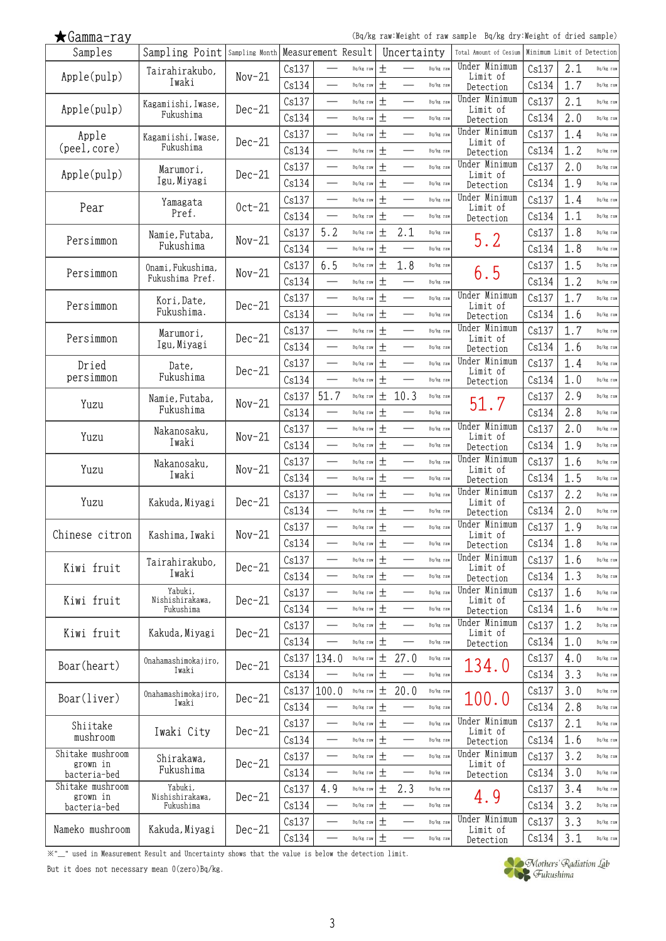(Bq/kg raw:Weight of raw sample Bq/kg dry:Weight of dried sample)

| Samples                          | Sampling Point Sampling Month Measurement Result |          |       |                          |           |              | Uncertainty              |           | Total Amount of Cesium     | Minimum Limit of Detection |     |           |
|----------------------------------|--------------------------------------------------|----------|-------|--------------------------|-----------|--------------|--------------------------|-----------|----------------------------|----------------------------|-----|-----------|
|                                  | Tairahirakubo,                                   | $Nov-21$ | Cs137 |                          | Bq/kg raw | $\mathrm{+}$ |                          | Bq/kg raw | Under Minimum<br>Limit of  | Cs137                      | 2.1 | Bq/kg raw |
| Apple(pulp)                      | Iwaki                                            |          | Cs134 | $\overline{\phantom{0}}$ | Bq/kg raw | 土            | $\overline{\phantom{0}}$ | Bq/kg raw | Detection                  | Cs134                      | 1.7 | Bq/kg raw |
|                                  | Kagamiishi, Iwase,                               |          | Cs137 |                          | Bq/kg raw | $\pm$        |                          | Bq/kg raw | Under Minimum              | Cs137                      | 2.1 | Bq/kg raw |
| Apple(pulp)                      | Fukushima                                        | $Dec-21$ | Cs134 |                          | Bq/kg raw | $\pm$        |                          | Bq/kg raw | Limit of<br>Detection      | Cs134                      | 2.0 | Bq/kg raw |
| Apple                            | Kagamiishi, Iwase,                               |          | Cs137 |                          | Bq/kg raw | $\pm$        |                          | Bq/kg raw | Under Minimum              | Cs137                      | 1.4 | Bq/kg raw |
| (peel, core)                     | Fukushima                                        | $Dec-21$ | Cs134 |                          | Bq/kg raw | $\pm$        |                          | Bq/kg raw | Limit of<br>Detection      | Cs134                      | 1.2 | Bq/kg raw |
|                                  |                                                  |          | Cs137 | $\overline{\phantom{0}}$ | Bq/kg raw | 土            | $\equiv$                 | Bq/kg raw | Under Minimum              | Cs137                      | 2.0 | Bq/kg raw |
| Apple(pulp)                      | Marumori,<br>Igu, Miyagi                         | $Dec-21$ | Cs134 |                          | Bq/kg raw | 土            |                          | Bq/kg raw | Limit of                   | Cs134                      | 1.9 | Bq/kg raw |
|                                  |                                                  |          | Cs137 | $\overline{\phantom{0}}$ |           | $\pm$        | $\overline{\phantom{0}}$ | Bq/kg raw | Detection<br>Under Minimum | Cs137                      | 1.4 | Bq/kg raw |
| Pear                             | Yamagata<br>Pref.                                | $0ct-21$ |       |                          | Bq/kg raw |              |                          |           | Limit of                   |                            |     |           |
|                                  |                                                  |          | Cs134 |                          | Bq/kg raw | 土            |                          | Bq/kg raw | Detection                  | Cs134                      | 1.1 | Bq/kg raw |
| Persimmon                        | Namie, Futaba,                                   | $Nov-21$ | Cs137 | 5.2                      | Bq/kg raw | 土            | 2.1                      | Bq/kg raw | 5.2                        | Cs137                      | 1.8 | Bq/kg raw |
|                                  | Fukushima                                        |          | Cs134 |                          | Bq/kg raw | $\pm$        |                          | Bq/kg raw |                            | Cs134                      | 1.8 | Bq/kg raw |
| Persimmon                        | Onami, Fukushima,                                | $Nov-21$ | Cs137 | 6.5                      | Bq/kg raw | $\pm$        | 1.8                      | Bq/kg raw | 6.5                        | Cs137                      | 1.5 | Bq/kg raw |
|                                  | Fukushima Pref.                                  |          | Cs134 |                          | Bq/kg raw | $\pm$        |                          | Bq/kg raw |                            | Cs134                      | 1.2 | Bq/kg raw |
| Persimmon                        | Kori, Date,                                      | $Dec-21$ | Cs137 |                          | Bq/kg raw | 土            |                          | Bq/kg raw | Under Minimum<br>Limit of  | Cs137                      | 1.7 | Bq/kg raw |
|                                  | Fukushima.                                       |          | Cs134 |                          | Bq/kg raw | 土            |                          | Bq/kg raw | Detection                  | Cs134                      | 1.6 | Bq/kg raw |
|                                  | Marumori,                                        |          | Cs137 |                          | Bq/kg raw | 土            |                          | Bq/kg raw | Under Minimum<br>Limit of  | Cs137                      | 1.7 | Bq/kg raw |
| Persimmon                        | Igu, Miyagi                                      | $Dec-21$ | Cs134 | $\overline{\phantom{0}}$ | Bq/kg raw | $\pm$        |                          | Bq/kg raw | Detection                  | Cs134                      | 1.6 | Bq/kg raw |
| Dried                            | Date,                                            |          | Cs137 |                          | Bq/kg raw | 土            |                          | Bq/kg raw | Under Minimum              | Cs137                      | 1.4 | Bq/kg raw |
| persimmon                        | Fukushima                                        | $Dec-21$ | Cs134 | $\overline{\phantom{0}}$ | Bq/kg raw | $\pm$        | $\overline{\phantom{0}}$ | Bq/kg raw | Limit of<br>Detection      | Cs134                      | 1.0 | Bq/kg raw |
|                                  | Namie, Futaba,                                   |          | Cs137 | 51.7                     | Bq/kg raw | $\pm$        | 10.3                     | Bq/kg raw |                            | Cs137                      | 2.9 | Bq/kg raw |
| Yuzu                             | Fukushima                                        | $Nov-21$ | Cs134 |                          | Bq/kg raw | $\pm$        |                          | Bq/kg raw | 51.7                       | Cs134                      | 2.8 | Bq/kg raw |
|                                  |                                                  |          | Cs137 | $\overline{\phantom{0}}$ | Bq/kg raw | $\pm$        |                          | Bq/kg raw | Under Minimum              | Cs137                      | 2.0 | Bq/kg raw |
| Yuzu                             | Nakanosaku,<br>Iwaki                             | $Nov-21$ | Cs134 |                          | Bq/kg raw | 土            |                          | Bq/kg raw | Limit of                   | Cs134                      | 1.9 | Bq/kg raw |
|                                  |                                                  |          | Cs137 | $\overline{\phantom{0}}$ | Bq/kg raw | $\pm$        | $\overline{\phantom{0}}$ | Bq/kg raw | Detection<br>Under Minimum | Cs137                      | 1.6 | Bq/kg raw |
| Yuzu                             | Nakanosaku,<br>Iwaki                             | $Nov-21$ |       |                          |           | 土            |                          |           | Limit of                   |                            |     |           |
|                                  |                                                  |          | Cs134 |                          | Bq/kg raw |              |                          | Bq/kg raw | Detection<br>Under Minimum | Cs134                      | 1.5 | Bq/kg raw |
| Yuzu                             | Kakuda, Miyagi                                   | $Dec-21$ | Cs137 | $\overline{\phantom{0}}$ | Bq/kg raw | $\pm$        |                          | Bq/kg raw | Limit of                   | Cs137                      | 2.2 | Bq/kg raw |
|                                  |                                                  |          | Cs134 |                          | Bq/kg raw | 土            |                          | Bq/kg raw | Detection                  | Cs134                      | 2.0 | Bq/kg raw |
| Chinese citron                   | Kashima,Iwaki                                    | $Nov-21$ | Cs137 |                          | Bq/kg raw | $\pm$        |                          | Bq/kg raw | Under Minimum<br>Limit of  | Cs137                      | 1.9 | Bq/kg raw |
|                                  |                                                  |          | Cs134 |                          | Bq/kg raw | 土            |                          | Bq/kg raw | Detection                  | Cs134                      | 1.8 | Bq/kg raw |
| Kiwi fruit                       | Tairahirakubo,                                   | $Dec-21$ | Cs137 |                          | Bq/kg raw | 土            |                          | Bq/kg raw | Under Minimum<br>Limit of  | Cs137                      | 1.6 | Bq/kg raw |
|                                  | Iwaki                                            |          | Cs134 |                          | Bq/kg raw | 土            |                          | Bq/kg raw | Detection                  | Cs134                      | 1.3 | Bq/kg raw |
| Kiwi fruit                       | Yabuki,<br>Nishishirakawa,                       | $Dec-21$ | Cs137 |                          | Bq/kg raw | $\pm$        |                          | Bq/kg raw | Under Minimum<br>Limit of  | Cs137                      | 1.6 | Bq/kg raw |
|                                  | Fukushima                                        |          | Cs134 | $\overline{\phantom{0}}$ | Bq/kg raw | $\pm$        |                          | Bq/kg raw | Detection                  | Cs134                      | 1.6 | Bq/kg raw |
| Kiwi fruit                       | Kakuda, Miyagi                                   | $Dec-21$ | Cs137 |                          | Bq/kg raw | 土            |                          | Bq/kg raw | Under Minimum<br>Limit of  | Cs137                      | 1.2 | Bq/kg raw |
|                                  |                                                  |          | Cs134 | $\overline{\phantom{0}}$ | Bq/kg raw | $\pm$        |                          | Bq/kg raw | Detection                  | Cs134                      | 1.0 | Bq/kg raw |
|                                  | Onahamashimokajiro,                              |          | Cs137 | 134.0                    | Bq/kg raw | 土            | 27.0                     | Bq/kg raw |                            | Cs137                      | 4.0 | Bq/kg raw |
| Boar(heart)                      | Iwaki                                            | $Dec-21$ | Cs134 |                          | Bq/kg raw | $\pm$        |                          | Bq/kg raw | 134.0                      | Cs134                      | 3.3 | Bq/kg raw |
|                                  | Onahamashimokajiro,                              |          | Cs137 | 100.0                    | Bq/kg raw | 土            | 20.0                     | Bq/kg raw |                            | Cs137                      | 3.0 | Bq/kg raw |
| Boar(liver)                      | Iwaki                                            | $Dec-21$ | Cs134 | $\overline{\phantom{0}}$ | Bq/kg raw | 土            |                          | Bq/kg raw | 100.0                      | Cs134                      | 2.8 | Bq/kg raw |
| Shiitake                         |                                                  |          | Cs137 | $\overline{\phantom{0}}$ | Bq/kg raw | $\pm$        |                          | Bq/kg raw | Under Minimum              | Cs137                      | 2.1 | Bq/kg raw |
| mushroom                         | Iwaki City                                       | $Dec-21$ | Cs134 |                          | Bq/kg raw | 土            |                          | Bq/kg raw | Limit of<br>Detection      | Cs134                      | 1.6 | Bq/kg raw |
| Shitake mushroom                 |                                                  |          | Cs137 |                          | Bq/kg raw | $\pm$        |                          | Bq/kg raw | Under Minimum              | Cs137                      | 3.2 | Bq/kg raw |
| grown in                         | Shirakawa,<br>Fukushima                          | $Dec-21$ | Cs134 | $\overline{\phantom{0}}$ | Bq/kg raw | 土            |                          | Bq/kg raw | Limit of                   | Cs134                      | 3.0 | Bq/kg raw |
| bacteria-bed<br>Shitake mushroom | Yabuki,                                          |          |       |                          |           |              |                          |           | Detection                  |                            |     |           |
| grown in                         | Nishishirakawa,                                  | $Dec-21$ | Cs137 | 4.9                      | Bq/kg raw | 土            | 2.3                      | Bq/kg raw | 4.9                        | Cs137                      | 3.4 | Bq/kg raw |
| bacteria-bed                     | Fukushima                                        |          | Cs134 |                          | Bq/kg raw | 土            |                          | Bq/kg raw | Under Minimum              | Cs134                      | 3.2 | Bq/kg raw |
| Nameko mushroom                  | Kakuda, Miyagi                                   | $Dec-21$ | Cs137 |                          | Bq/kg raw | $\pm$        |                          | Bq/kg raw | Limit of                   | Cs137                      | 3.3 | Bq/kg raw |
|                                  |                                                  |          | Cs134 |                          | Bq/kg raw | $\pm$        |                          | Bq/kg raw | Detection                  | Cs134                      | 3.1 | Bq/kg raw |

※"\_" used in Measurement Result and Uncertainty shows that the value is below the detection limit.

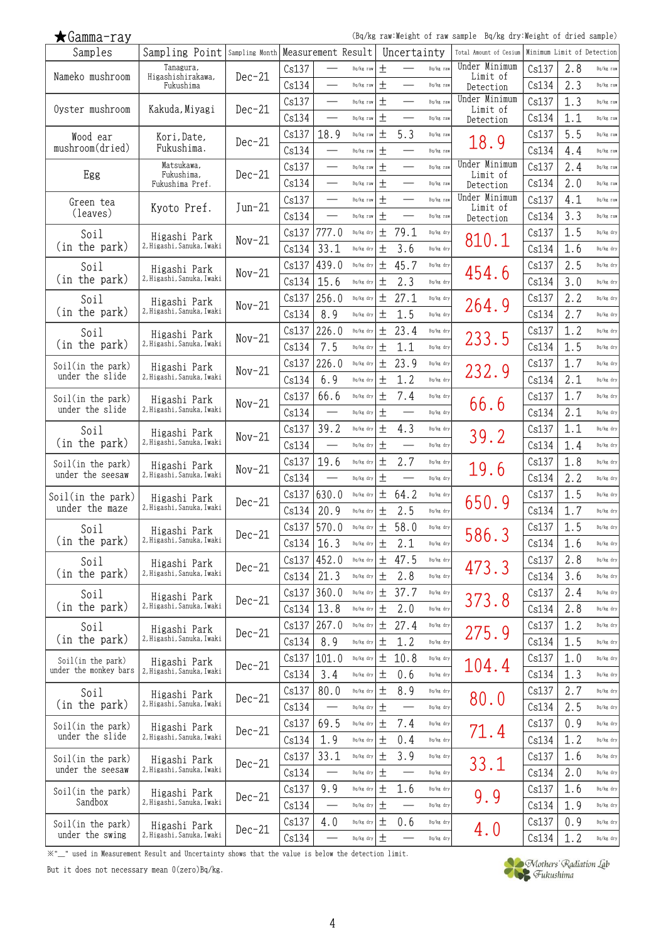(Bq/kg raw:Weight of raw sample Bq/kg dry:Weight of dried sample)

| Samples                               | Sampling Point   Sampling Month   Measurement Result |          |       |                          |           |        | Uncertainty              |           | Total Amount of Cesium    |       | Minimum Limit of Detection |           |
|---------------------------------------|------------------------------------------------------|----------|-------|--------------------------|-----------|--------|--------------------------|-----------|---------------------------|-------|----------------------------|-----------|
| Nameko mushroom                       | Tanagura,<br>Higashishirakawa,                       | $Dec-21$ | Cs137 |                          | Bq/kg raw | $^{+}$ |                          | Bq/kg raw | Under Minimum<br>Limit of | Cs137 | 2.8                        | Bq/kg raw |
|                                       | Fukushima                                            |          | Cs134 |                          | Bq/kg raw | $\pm$  |                          | Bq/kg raw | Detection                 | Cs134 | 2.3                        | Bq/kg raw |
|                                       |                                                      |          | Cs137 |                          | Bq/kg raw | $\pm$  |                          | Bq/kg raw | Under Minimum             | Cs137 | 1.3                        | Bq/kg raw |
| Oyster mushroom                       | Kakuda, Miyagi                                       | $Dec-21$ | Cs134 |                          | Bq/kg raw | $\pm$  |                          | Bq/kg raw | Limit of<br>Detection     | Cs134 | 1.1                        | Bq/kg raw |
| Wood ear                              | Kori, Date,                                          |          | Cs137 | 18.9                     | Bq/kg raw | $\pm$  | 5.3                      | Bq/kg raw |                           | Cs137 | 5.5                        | Bq/kg raw |
| mushroom(dried)                       | Fukushima.                                           | $Dec-21$ | Cs134 |                          | Bq/kg raw | 土      |                          | Bq/kg raw | 18.9                      | Cs134 | 4.4                        | Bq/kg raw |
|                                       | Matsukawa,                                           |          | Cs137 | $\overline{\phantom{0}}$ | Bq/kg raw | $\pm$  |                          | Bq/kg raw | Under Minimum             | Cs137 | 2.4                        | Bq/kg raw |
| Egg                                   | Fukushima,<br>Fukushima Pref.                        | $Dec-21$ | Cs134 |                          | Bq/kg raw | 土      |                          | Bq/kg raw | Limit of<br>Detection     | Cs134 | 2.0                        | Bq/kg raw |
| Green tea                             |                                                      |          | Cs137 | $\overline{\phantom{0}}$ | Bq/kg raw | $\pm$  | $\overline{\phantom{0}}$ | Bq/kg raw | Under Minimum             | Cs137 | 4.1                        | Bq/kg raw |
| (leaves)                              | Kyoto Pref.                                          | $Jun-21$ | Cs134 |                          | Bq/kg raw | 土      |                          | Bq/kg raw | Limit of<br>Detection     | Cs134 | 3.3                        | Bq/kg raw |
| Soil                                  |                                                      |          | Cs137 | 777.0                    | Bq/kg dry | $\pm$  | 79.1                     | Bq/kg dry |                           | Cs137 | 1.5                        | Bq/kg dry |
| (in the park)                         | Higashi Park<br>2, Higashi, Sanuka, Iwaki            | $Nov-21$ | Cs134 | 33.1                     | Bq/kg dry | 土      | 3.6                      | Bq/kg dry | 810.1                     | Cs134 | 1.6                        | Bq/kg dry |
| Soil                                  |                                                      |          | Cs137 | 439.0                    | Bq/kg dry | $\pm$  | 45.7                     | Bq/kg dry |                           | Cs137 | 2.5                        | Bq/kg dry |
| (in the park)                         | Higashi Park<br>2, Higashi, Sanuka, Iwaki            | $Nov-21$ | Cs134 | 15.6                     | Bq/kg dry | 土      | 2.3                      | Bq/kg dry | 454.6                     | Cs134 | 3.0                        | Bq/kg dry |
|                                       |                                                      |          | Cs137 | 256.0                    | Bq/kg dry | 土      | 27.1                     | Bq/kg dry |                           | Cs137 | 2.2                        | Bq/kg dry |
| Soil<br>(in the park)                 | Higashi Park<br>2, Higashi, Sanuka, Iwaki            | $Nov-21$ | Cs134 | 8.9                      | Bq/kg dry | 土      | 1.5                      | Bq/kg dry | 264.9                     | Cs134 | 2.7                        | Bq/kg dry |
|                                       |                                                      |          | Cs137 | 226.0                    | Bq/kg dry | $\pm$  | 23.4                     |           |                           | Cs137 | 1.2                        | Bq/kg dry |
| Soil<br>(in the park)                 | Higashi Park<br>2, Higashi, Sanuka, Iwaki            | $Nov-21$ | Cs134 | 7.5                      |           |        |                          | Bq/kg dry | 233.5                     | Cs134 |                            |           |
|                                       |                                                      |          |       |                          | Bq/kg dry | 土      | 1.1                      | Bq/kg dry |                           |       | 1.5                        | Bq/kg dry |
| Soil(in the park)<br>under the slide  | Higashi Park<br>2,Higashi,Sanuka,Iwaki               | $Nov-21$ | Cs137 | 226.0                    | Bq/kg dry | 土      | 23.9                     | Bq/kg dry | 232.9                     | Cs137 | 1.7                        | Bq/kg dry |
|                                       |                                                      |          | Cs134 | 6.9                      | Bq/kg dry | 土      | 1.2                      | Bq/kg dry |                           | Cs134 | 2.1                        | Bq/kg dry |
| Soil(in the park)<br>under the slide  | Higashi Park<br>2, Higashi, Sanuka, Iwaki            | $Nov-21$ | Cs137 | 66.6                     | Bq/kg dry | $\pm$  | 7.4                      | Bq/kg dry | 66.6                      | Cs137 | 1.7                        | Bq/kg dry |
|                                       |                                                      |          | Cs134 |                          | Bq/kg dry | 土      |                          | Bq/kg dry |                           | Cs134 | 2.1                        | Bq/kg dry |
| Soil                                  | Higashi Park                                         | $Nov-21$ | Cs137 | 39.2                     | Bq/kg dry | $\pm$  | 4.3                      | Bq/kg dry | 39.2                      | Cs137 | 1.1                        | Bq/kg dry |
| (in the park)                         | 2, Higashi, Sanuka, Iwaki                            |          | Cs134 |                          | Bq/kg dry | $^{+}$ |                          | Bq/kg dry |                           | Cs134 | 1.4                        | Bq/kg dry |
| Soil(in the park)<br>under the seesaw | Higashi Park                                         | $Nov-21$ | Cs137 | 19.6                     | Bq/kg dry | $\pm$  | 2.7                      | Bq/kg dry | 19.6                      | Cs137 | 1.8                        | Bq/kg dry |
|                                       | 2, Higashi, Sanuka, Iwaki                            |          | Cs134 |                          | Bq/kg dry | 土      |                          | Bq/kg dry |                           | Cs134 | 2.2                        | Bq/kg dry |
| Soil(in the park)                     | Higashi Park                                         | $Dec-21$ | Cs137 | 630.0                    | Bq/kg dry | $\pm$  | 64.2                     | Bq/kg dry | 650.9                     | Cs137 | 1.5                        | Bq/kg dry |
| under the maze                        | 2, Higashi, Sanuka, Iwaki                            |          | Cs134 | 20.9                     | Bq/kg dry | 土      | 2.5                      | Bq/kg dry |                           | Cs134 | 1.7                        | Bq/kg dry |
| Soil                                  | Higashi Park                                         | $Dec-21$ | Cs137 | 570.0                    | Bq/kg dry | 土      | 58.0                     | Bq/kg dry | 586.3                     | Cs137 | 1.5                        | Bq/kg dry |
| (in the park)                         | 2, Higashi, Sanuka, Iwaki                            |          | Cs134 | 16.3                     | Bq/kg dry | 土      | 2.1                      | Bq/kg dry |                           | Cs134 | 1.6                        | Bq/kg dry |
| Soil                                  | Higashi Park                                         | $Dec-21$ | Cs137 | 452.0                    | Bq/kg dry | 土      | 47.5                     | Bq/kg dry | 473.3                     | Cs137 | 2.8                        | Bq/kg dry |
| (in the park)                         | 2, Higashi, Sanuka, Iwaki                            |          | Cs134 | 21.3                     | Bq/kg dry | 土      | 2.8                      | Bq/kg dry |                           | Cs134 | 3.6                        | Bq/kg dry |
| Soil                                  | Higashi Park                                         | $Dec-21$ | Cs137 | 360.0                    | Bq/kg dry | $\pm$  | 37.7                     | Bq/kg dry | 373.8                     | Cs137 | 2.4                        | Bq/kg dry |
| (in the park)                         | 2. Higashi, Sanuka, Iwaki                            |          | Cs134 | 13.8                     | Bq/kg dry | $\pm$  | 2.0                      | Bq/kg dry |                           | Cs134 | 2.8                        | Bq/kg dry |
| Soil                                  | Higashi Park                                         | $Dec-21$ | Cs137 | 267.0                    | Bq/kg dry | 土      | 27.4                     | Bq/kg dry | 275.9                     | Cs137 | 1.2                        | Bq/kg dry |
| (in the park)                         | 2, Higashi, Sanuka, Iwaki                            |          | Cs134 | 8.9                      | Bq/kg dry | $\pm$  | 1.2                      | Bq/kg dry |                           | Cs134 | 1.5                        | Bq/kg dry |
| Soil(in the park)                     | Higashi Park                                         | $Dec-21$ | Cs137 | 101.0                    | Bq/kg dry | $\pm$  | 10.8                     | Bq/kg dry | 104.4                     | Cs137 | 1.0                        | Bq/kg dry |
| under the monkey bars                 | 2, Higashi, Sanuka, Iwaki                            |          | Cs134 | 3.4                      | Bq/kg dry | $\pm$  | 0.6                      | Bq/kg dry |                           | Cs134 | 1.3                        | Bq/kg dry |
| Soil                                  | Higashi Park                                         | $Dec-21$ | Cs137 | 80.0                     | Bq/kg dry | $\pm$  | 8.9                      | Bq/kg dry | 80.0                      | Cs137 | 2.7                        | Bq/kg dry |
| (in the park)                         | 2, Higashi, Sanuka, Iwaki                            |          | Cs134 |                          | Bq/kg dry | 土      |                          | Bq/kg dry |                           | Cs134 | 2.5                        | Bq/kg dry |
| Soil(in the park)                     | Higashi Park                                         | $Dec-21$ | Cs137 | 69.5                     | Bq/kg dry | $\pm$  | 7.4                      | Bq/kg dry |                           | Cs137 | 0.9                        | Bq/kg dry |
| under the slide                       | 2, Higashi, Sanuka, Iwaki                            |          | Cs134 | 1.9                      | Bq/kg dry | $\pm$  | 0.4                      | Bq/kg dry | 71.4                      | Cs134 | 1.2                        | Bq/kg dry |
| Soil(in the park)                     | Higashi Park                                         |          | Cs137 | 33.1                     | Bq/kg dry | $\pm$  | 3.9                      | Bq/kg dry |                           | Cs137 | 1.6                        | Bq/kg dry |
| under the seesaw                      | 2, Higashi, Sanuka, Iwaki                            | $Dec-21$ | Cs134 |                          | Bq/kg dry | 土      |                          | Bq/kg dry | 33.1                      | Cs134 | 2.0                        | Bq/kg dry |
| Soil(in the park)                     | Higashi Park                                         |          | Cs137 | 9.9                      | Bq/kg dry | $\pm$  | 1.6                      | Bq/kg dry |                           | Cs137 | 1.6                        | Bq/kg dry |
| Sandbox                               | 2, Higashi, Sanuka, Iwaki                            | $Dec-21$ | Cs134 |                          | Bq/kg dry | $\pm$  |                          | Bq/kg dry | 9.9                       | Cs134 | 1.9                        | Bq/kg dry |
| Soil(in the park)                     | Higashi Park                                         |          | Cs137 | 4.0                      | Bq/kg dry | $\pm$  | 0.6                      | Bq/kg dry |                           | Cs137 | 0.9                        | Bq/kg dry |
| under the swing                       | 2, Higashi, Sanuka, Iwaki                            | $Dec-21$ | Cs134 |                          | Bq/kg dry | $\pm$  |                          | Bq/kg dry | 4.0                       | Cs134 | 1.2                        | Bq/kg dry |

※"\_" used in Measurement Result and Uncertainty shows that the value is below the detection limit.

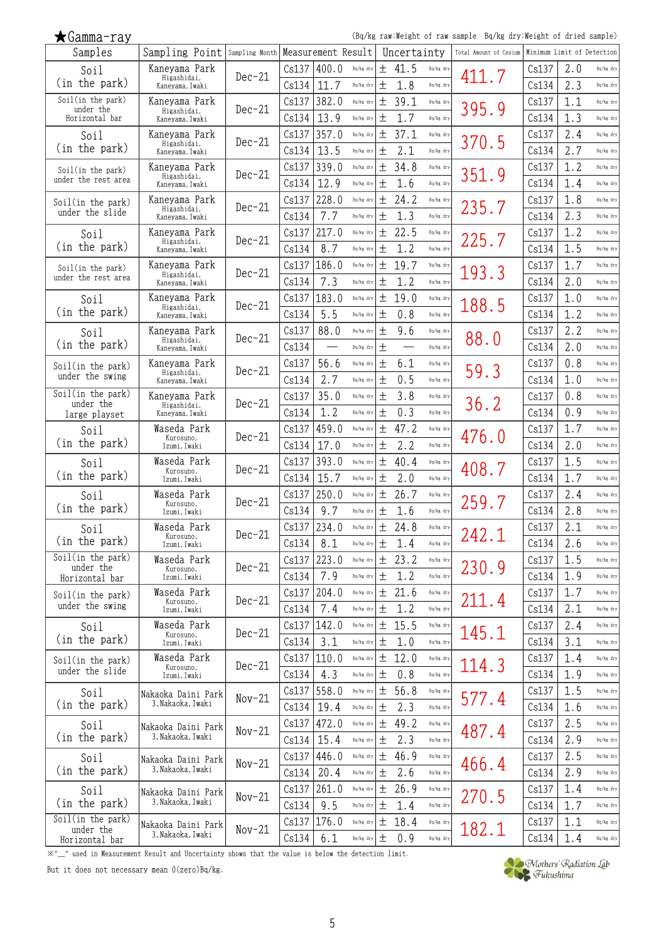(Bq/kg raw:Weight of raw sample Bq/kg dry:Weight of dried sample)

| Samples                              | Sampling Point Sampling Month         |          |       | Measurement Result |                 |       | Uncertainty |           | Total Amount of Cesium | Minimum Limit of Detection |     |           |
|--------------------------------------|---------------------------------------|----------|-------|--------------------|-----------------|-------|-------------|-----------|------------------------|----------------------------|-----|-----------|
| Soil                                 | Kaneyama Park                         | $Dec-21$ | Cs137 | 400.0              | Bq/kg dry       | 土     | 41.5        | Bq/kg dry | 411.7                  | Cs137                      | 2.0 | Bq/kg dry |
| (in the park)                        | Higashidai,<br>Kaneyama, Iwaki        |          | Cs134 | 11.7               | Bq/kg dry       | 土     | 1.8         | Bq/kg dry |                        | Cs134                      | 2.3 | Bq/kg dry |
| Soil(in the park)<br>under the       | Kaneyama Park                         | $Dec-21$ | Cs137 | 382.0              | Bq/kg dry       | 土     | 39.1        | Bq/kg dry |                        | Cs137                      | 1.1 | Bq/kg dry |
| Horizontal bar                       | Higashidai,<br>Kaneyama, Iwaki        |          | Cs134 | 13.9               | Bq/kg dry       | 土     | 1.7         | Bq/kg dry | 395.9                  | Cs134                      | 1.3 | Bq/kg dry |
| Soil                                 | Kanevama Park                         |          | Cs137 | 357.0              | Bq/kg dry       | 土     | 37.1        | Bq/kg dry |                        | Cs137                      | 2.4 | Bq/kg dry |
| (in the park)                        | Higashidai,<br>Kaneyama, Iwaki        | $Dec-21$ | Cs134 | 13.5               | Bq/kg dry       | 土     | 2.1         | Bq/kg dry | 370.5                  | Cs134                      | 2.7 | Bq/kg dry |
| Soil(in the park)                    | Kaneyama Park                         |          | Cs137 | 339.0              | Bq/kg dry       | 土     | 34.8        | Bq/kg dry |                        | Cs137                      | 1.2 | Bq/kg dry |
| under the rest area                  | Higashidai,<br>Kanevama, Iwaki        | $Dec-21$ | Cs134 | 12.9               | Bq/kg dry       | 土     | 1.6         | Bq/kg dry | 351.9                  | Cs134                      | 1.4 | Bq/kg dry |
| Soil(in the park)                    | Kaneyama Park                         |          | Cs137 | 228.0              | Bq/kg dry       | 土     | 24.2        | Bq/kg dry |                        | Cs137                      | 1.8 | Bq/kg dry |
| under the slide                      | Higashidai,<br>Kaneyama, Iwaki        | $Dec-21$ | Cs134 | 7.7                | Bq/kg dry       | 土     | 1.3         | Bq/kg dry | 235.7                  | Cs134                      | 2.3 | Bq/kg dry |
| Soil                                 | Kaneyama Park                         |          | Cs137 | 217.0              | Bq/kg dry       | 土     | 22.5        | Bq/kg dry |                        | Cs137                      | 1.2 | Bq/kg dry |
| (in the park)                        | Higashidai,<br>Kaneyama, Iwaki        | $Dec-21$ | Cs134 | 8.7                | Bq/kg dry       | 土     | 1.2         | Bq/kg dry | 225.7                  | Cs134                      | 1.5 | Bq/kg dry |
| Soil(in the park)                    | Kaneyama Park                         |          | Cs137 | 186.0              | Bq/kg dry       | 土     | 19.7        | Bq/kg dry |                        | Cs137                      | 1.7 | Bq/kg dry |
| under the rest area                  | Higashidai,<br>Kaneyama, Iwaki        | $Dec-21$ | Cs134 | 7.3                | Bq/kg dry       | 土     | 1.2         | Bq/kg dry | 193.3                  | Cs134                      | 2.0 | Bq/kg dry |
| Soil                                 | Kaneyama Park                         |          | Cs137 | 183.0              | Bq/kg dry       | 土     | 19.0        | Bq/kg dry |                        | Cs137                      | 1.0 | Bq/kg dry |
| (in the park)                        | Higashidai,<br>Kanevama, Iwaki        | $Dec-21$ | Cs134 | 5.5                | Bq/kg dry       | 土     | 0.8         | Bq/kg dry | 188.5                  | Cs134                      | 1.2 | Bq/kg dry |
| Soil                                 | Kaneyama Park                         |          | Cs137 | 88.0               | Bq/kg dry       | 土     | 9.6         | Bq/kg dry |                        | Cs137                      | 2.2 | Bq/kg dry |
| (in the park)                        | Higashidai,<br>Kaneyama, Iwaki        | $Dec-21$ | Cs134 |                    | Bq/kg dry       | 土     |             | Bq/kg dry | 88.0                   | Cs134                      | 2.0 | Bq/kg dry |
|                                      | Kaneyama Park                         |          | Cs137 | 56.6               | Bq/kg dry       | 土     | 6.1         | Bq/kg dry |                        | Cs137                      | 0.8 | Bq/kg dry |
| Soil(in the park)<br>under the swing | Higashidai,<br>Kaneyama, Iwaki        | $Dec-21$ | Cs134 | 2.7                | Bq/kg dry       | 土     | 0.5         | Bq/kg dry | 59.3                   | Cs134                      | 1.0 | Bq/kg dry |
| Soil(in the park)                    | Kaneyama Park                         |          | Cs137 | 35.0               | Bq/kg dry       | 土     | 3.8         | Bq/kg dry |                        | Cs137                      | 0.8 | Bq/kg dry |
| under the                            | Higashidai,                           | $Dec-21$ | Cs134 | 1.2                | Bq/kg dry       | 土     | 0.3         | Bq/kg dry | 36.2                   | Cs134                      | 0.9 | Bq/kg dry |
| large playset                        | Kaneyama, Iwaki<br>Waseda Park        |          | Cs137 | 459.0              | Bq/kg dry       | 土     | 47.2        | Bq/kg dry |                        | Cs137                      | 1.7 | Bq/kg dry |
| Soil<br>(in the park)                | Kurosuno,<br>Izumi, Iwaki             | $Dec-21$ | Cs134 | 17.0               | Bq/kg dry       | 土     | 2.2         | Bq/kg dry | 476.0                  | Cs134                      | 2.0 | Bq/kg dry |
| Soil                                 | Waseda Park                           |          | Cs137 | 393.0              | Bq/kg dry       | 土     | 40.4        | Bq/kg dry |                        | Cs137                      | 1.5 | Bq/kg dry |
| (in the park)                        | Kurosuno,<br>Izumi, Iwaki             | $Dec-21$ | Cs134 | 15.7               | Bq/kg dry       | 土     | 2.0         | Bq/kg dry | 408.7                  | Cs134                      | 1.7 | Bq/kg dry |
| Soil                                 | Waseda Park                           |          | Cs137 | 250.0              | Bq/kg dry       | $\pm$ | 26.7        | Bq/kg dry |                        | Cs137                      | 2.4 | Bq/kg dry |
| (in the park)                        | Kurosuno,<br>Izumi, Iwaki             | $Dec-21$ | Cs134 | 9.7                | Bq/kg dry       | 土     | 1.6         | Bq/kg dry | 259.7                  | Cs134                      | 2.8 | Bq/kg dry |
|                                      | Waseda Park                           |          | Cs137 | 234.0              | Bq/kg dry       | 土     | 24.8        | Bq/kg dry |                        | Cs137                      | 2.1 | Bq/kg dry |
| Soil<br>(in the park)                | Kurosuno,                             | $Dec-21$ | Cs134 | 8.1                | Bq/kg dry $\pm$ |       | 1.4         | Bq/kg dry | 242.1                  | Cs134                      | 2.6 | Bq/kg dry |
| Soil(in the park)                    | Izumi, Iwaki<br>Waseda Park           |          | Cs137 | 223.0              | Bq/kg dry       | 土     | 23.2        | Bq/kg dry |                        | Cs137                      | 1.5 | Bq/kg dry |
| under the                            | Kurosuno,                             | $Dec-21$ | Cs134 | 7.9                | Bq/kg dry       | $\pm$ | 1.2         | Bq/kg dry | 230.9                  | Cs134                      | 1.9 | Bq/kg dry |
| Horizontal bar                       | Izumi, Iwaki<br>Waseda Park           |          | Cs137 | 204.0              | Bq/kg dry       |       |             |           |                        |                            | 1.7 |           |
| Soil(in the park)<br>under the swing | Kurosuno,                             | $Dec-21$ |       |                    |                 | 土     | 21.6        | Bq/kg dry | 211.4                  | Cs137                      |     | Bq/kg dry |
|                                      | Izumi, Iwaki                          |          | Cs134 | 7.4                | Bq/kg dry       | $\pm$ | 1.2         | Bq/kg dry |                        | Cs134                      | 2.1 | Bq/kg dry |
| Soil<br>(in the park)                | Waseda Park<br>Kurosuno,              | $Dec-21$ | Cs137 | 142.0              | Bq/kg dry       | 土     | 15.5        | Bq/kg dry | 145.1                  | Cs137                      | 2.4 | Bq/kg dry |
|                                      | Izumi, Iwaki<br>Waseda Park           |          | Cs134 | 3.1                | Bq/kg dry       | 土     | 1.0         | Bq/kg dry |                        | Cs134                      | 3.1 | Bq/kg dry |
| Soil(in the park)<br>under the slide | Kurosuno,                             | $Dec-21$ | Cs137 | 110.0              | Bq/kg dry       | 土     | 12.0        | Bq/kg dry | 114.3                  | Cs137                      | 1.4 | Bq/kg dry |
|                                      | Izumi, Iwaki                          |          | Cs134 | 4.3                | Bq/kg dry       | 土     | 0.8         | Bq/kg dry |                        | Cs134                      | 1.9 | Bq/kg dry |
| Soil<br>(in the park)                | Nakaoka Daini Park<br>3,Nakaoka,Iwaki | $Nov-21$ |       | Cs137   558.0      | Bq/kg dry       | 土     | 56.8        | Bq/kg dry | 577.4                  | Cs137                      | 1.5 | Bq/kg dry |
|                                      |                                       |          | Cs134 | 19.4               | Bq/kg dry       | $\pm$ | 2.3         | Bq/kg dry |                        | Cs134                      | 1.6 | Bq/kg dry |
| Soil                                 | Nakaoka Daini Park<br>3,Nakaoka,Iwaki | $Nov-21$ | Cs137 | 472.0              | Bq/kg dry       | 土     | 49.2        | Bq/kg dry | 487.4                  | Cs137                      | 2.5 | Bq/kg dry |
| (in the park)                        |                                       |          | Cs134 | 15.4               | Bq/kg dry       | 土     | 2.3         | Bq/kg dry |                        | Cs134                      | 2.9 | Bq/kg dry |
| Soil                                 | Nakaoka Daini Park                    | $Nov-21$ | Cs137 | 446.0              | Bq/kg dry       | 土     | 46.9        | Bq/kg dry | 466.4                  | Cs137                      | 2.5 | Bq/kg dry |
| (in the park)                        | 3,Nakaoka,Iwaki                       |          | Cs134 | 20.4               | Bq/kg dry       | 土     | 2.6         | Bq/kg dry |                        | Cs134                      | 2.9 | Bq/kg dry |
| Soil                                 | Nakaoka Daini Park                    | $Nov-21$ | Cs137 | 261.0              | Bq/kg dry       | 土     | 26.9        | Bq/kg dry | 270.5                  | Cs137                      | 1.4 | Bq/kg dry |
| (in the park)                        | 3, Nakaoka, Iwaki                     |          | Cs134 | 9.5                | Bq/kg dry       | 土     | 1.4         | Bq/kg dry |                        | Cs134                      | 1.7 | Bq/kg dry |
| Soil(in the park)<br>under the       | Nakaoka Daini Park                    | $Nov-21$ | Cs137 | 176.0              | Bq/kg dry       | 土     | 18.4        | Bq/kg dry | 182.1                  | Cs137                      | 1.1 | Bq/kg dry |
| Horizontal bar                       | 3,Nakaoka,Iwaki                       |          | Cs134 | 6.1                | Bq/kg dry       | $\pm$ | 0.9         | Bq/kg dry |                        | Cs134                      | 1.4 | Bq/kg dry |

※"\_" used in Measurement Result and Uncertainty shows that the value is below the detection limit.

But it does not necessary mean 0(zero)Bq/kg.

★Gamma-ray

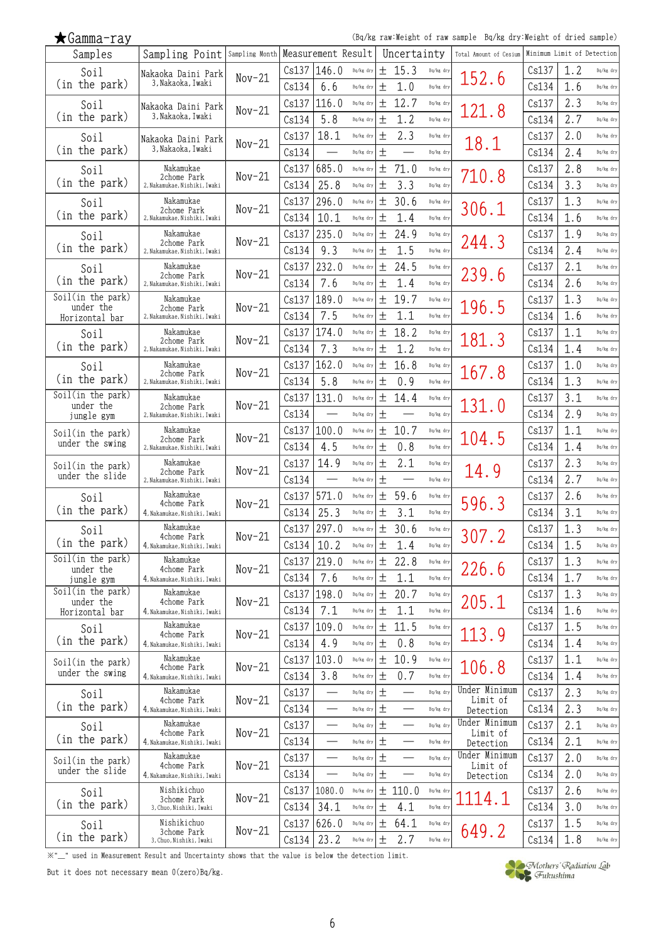| $\bigstar$ Gamma-ray |  |
|----------------------|--|
|                      |  |

(Bq/kg raw:Weight of raw sample Bq/kg dry:Weight of dried sample)

| Samples                              | Sampling Point Sampling Month Measurement Result |          |       |                          |           |        | Uncertainty              |           | Total Amount of Cesium     | Minimum Limit of Detection |     |           |
|--------------------------------------|--------------------------------------------------|----------|-------|--------------------------|-----------|--------|--------------------------|-----------|----------------------------|----------------------------|-----|-----------|
| Soil                                 | Nakaoka Daini Park                               | $Nov-21$ | Cs137 | 146.0                    | Bq/kg dry |        | ± 15.3                   | Bq/kg dry | 152.6                      | Cs137                      | 1.2 | Bq/kg dry |
| (in the park)                        | 3,Nakaoka,Iwaki                                  |          | Cs134 | 6.6                      | Bq/kg dry | 土      | 1.0                      | Bq/kg dry |                            | Cs134                      | 1.6 | Bq/kg dry |
| Soil                                 | Nakaoka Daini Park                               | $Nov-21$ | Cs137 | 116.0                    | Bq/kg dry | 土      | 12.7                     | Bq/kg dry | 121.8                      | Cs137                      | 2.3 | Bq/kg dry |
| (in the park)                        | 3,Nakaoka,Iwaki                                  |          | Cs134 | 5.8                      | Bq/kg dry | 土      | 1.2                      | Bq/kg dry |                            | Cs134                      | 2.7 | Bq/kg dry |
| Soil                                 | Nakaoka Daini Park                               | $Nov-21$ | Cs137 | 18.1                     | Bq/kg dry | 土      | 2.3                      | Bq/kg dry |                            | Cs137                      | 2.0 | Bq/kg dry |
| (in the park)                        | 3,Nakaoka,Iwaki                                  |          | Cs134 |                          | Bq/kg dry | $\pm$  |                          | Bq/kg dry | 18.1                       | Cs134                      | 2.4 | Bq/kg dry |
| Soil                                 | Nakamukae                                        |          | Cs137 | 685.0                    | Bq/kg dry | 土      | 71.0                     | Bq/kg dry |                            | Cs137                      | 2.8 | Bq/kg dry |
| (in the park)                        | 2chome Park<br>2, Nakamukae, Nishiki, Iwaki      | $Nov-21$ | Cs134 | 25.8                     | Bq/kg dry | 土      | 3.3                      | Bq/kg dry | 710.8                      | Cs134                      | 3.3 | Bq/kg dry |
| Soil                                 | Nakamukae                                        |          | Cs137 | 296.0                    | Bq/kg dry | 土      | 30.6                     | Bq/kg dry |                            | Cs137                      | 1.3 | Bq/kg dry |
| (in the park)                        | 2chome Park<br>2, Nakamukae, Nishiki, Iwaki      | $Nov-21$ | Cs134 | 10.1                     | Bq/kg dry | 土      | 1.4                      | Bq/kg dry | 306.1                      | Cs134                      | 1.6 | Bq/kg dry |
| Soil                                 | Nakamukae                                        |          | Cs137 | 235.0                    | Bq/kg dry | 土      | 24.9                     | Bq/kg dry |                            | Cs137                      | 1.9 | Bq/kg dry |
| (in the park)                        | 2chome Park<br>2, Nakamukae, Nishiki, Iwaki      | $Nov-21$ | Cs134 | 9.3                      | Bq/kg dry | $\,^+$ | 1.5                      | Bq/kg dry | 244.3                      | Cs134                      | 2.4 | Bq/kg dry |
| Soil                                 | Nakamukae                                        |          | Cs137 | 232.0                    | Bq/kg dry | 土      | 24.5                     | Bq/kg dry |                            | Cs137                      | 2.1 | Bq/kg dry |
| (in the park)                        | 2chome Park<br>2, Nakamukae, Nishiki, Iwaki      | $Nov-21$ | Cs134 | 7.6                      | Bq/kg dry | 土      | 1.4                      | Bq/kg dry | 239.6                      | Cs134                      | 2.6 | Bq/kg dry |
| Soil(in the park)                    | Nakamukae                                        |          | Cs137 | 189.0                    | Bq/kg dry | 土      | 19.7                     | Bq/kg dry |                            | Cs137                      | 1.3 | Bq/kg dry |
| under the<br>Horizontal bar          | 2chome Park<br>2, Nakamukae, Nishiki, Iwaki      | $Nov-21$ | Cs134 | 7.5                      | Bq/kg dry | 土      | 1.1                      | Bq/kg dry | 196.5                      | Cs134                      | 1.6 | Bq/kg dry |
| Soil                                 | Nakamukae                                        |          | Cs137 | 174.0                    | Bq/kg dry | 土      | 18.2                     | Bq/kg dry |                            | Cs137                      | 1.1 | Bq/kg dry |
| (in the park)                        | 2chome Park<br>2, Nakamukae, Nishiki, Iwaki      | $Nov-21$ | Cs134 | 7.3                      | Bq/kg dry | 土      | 1.2                      | Bq/kg dry | 181.3                      | Cs134                      | 1.4 | Bq/kg dry |
| Soil                                 | Nakamukae                                        |          | Cs137 | 162.0                    | Bq/kg dry | 土      | 16.8                     | Bq/kg dry |                            | Cs137                      | 1.0 | Bq/kg dry |
| (in the park)                        | 2chome Park<br>2, Nakamukae, Nishiki, Iwaki      | $Nov-21$ | Cs134 | 5.8                      | Bq/kg dry | 土      | 0.9                      | Bq/kg dry | 167.8                      | Cs134                      | 1.3 | Bq/kg dry |
| Soil(in the park)                    | Nakamukae                                        |          | Cs137 | 131.0                    | Bq/kg dry | 土      | 14.4                     | Bq/kg dry |                            | Cs137                      | 3.1 | Bq/kg dry |
| under the<br>jungle gym              | 2chome Park<br>2, Nakamukae, Nishiki, Iwaki      | $Nov-21$ | Cs134 |                          | Bq/kg dry | 土      |                          | Bq/kg dry | 131.0                      | Cs134                      | 2.9 | Bq/kg dry |
| Soil(in the park)                    | Nakamukae                                        |          | Cs137 | 100.0                    | Bq/kg dry | 土      | 10.7                     | Bq/kg dry |                            | Cs137                      | 1.1 | Bq/kg dry |
| under the swing                      | 2chome Park<br>2, Nakamukae, Nishiki, Iwaki      | $Nov-21$ | Cs134 | 4.5                      | Bq/kg dry | 土      | 0.8                      | Bq/kg dry | 104.5                      | Cs134                      | 1.4 | Bq/kg dry |
| Soil(in the park)                    | Nakamukae                                        |          | Cs137 | 14.9                     | Bq/kg dry | $\pm$  | 2.1                      | Bq/kg dry |                            | Cs137                      | 2.3 | Bq/kg dry |
| under the slide                      | 2chome Park<br>2, Nakamukae, Nishiki, Iwaki      | $Nov-21$ | Cs134 |                          | Bq/kg dry | 土      |                          | Bq/kg dry | 14.9                       | Cs134                      | 2.7 | Bq/kg dry |
| Soil                                 | Nakamukae                                        |          | Cs137 | 571.0                    | Bq/kg dry | 土      | 59.6                     | Bq/kg dry |                            | Cs137                      | 2.6 | Bq/kg dry |
| (in the park)                        | 4chome Park<br>4, Nakamukae, Nishiki, Iwaki      | $Nov-21$ | Cs134 | 25.3                     | Bq/kg dry | $\,^+$ | 3.1                      | Bq/kg dry | 596.3                      | Cs134                      | 3.1 | Bq/kg dry |
| Soil                                 | Nakamukae                                        |          | Cs137 | 297.0                    | Bq/kg dry | 土      | 30.6                     | Bq/kg dry |                            | Cs137                      | 1.3 | Bq/kg dry |
| (in the park)                        | 4chome Park<br>4, Nakamukae, Nishiki, Iwaki      | $Nov-21$ | Cs134 | 10.2                     | Bq/kg dry | 土      | 1.4                      | Bq/kg dry | 307.2                      | Cs134                      | 1.5 | Bq/kg dry |
| Soil(in the park)                    | Nakamukae                                        |          | Cs137 | 219.0                    | Bq/kg dry | 土      | 22.8                     | Bq/kg dry |                            | Cs137                      | 1.3 | Bq/kg dry |
| under the<br>jungle gym              | 4chome Park<br>4, Nakamukae, Nishiki, Iwaki      | $Nov-21$ | Cs134 | 7.6                      | Bq/kg dry | $\pm$  | 1.1                      | Bq/kg dry | 226.6                      | Cs134                      | 1.7 | Bq/kg dry |
| Soil(in the park)                    | Nakamukae                                        |          | Cs137 | 198.0                    | Bq/kg dry | $\pm$  | 20.7                     | Bq/kg dry |                            | Cs137                      | 1.3 | Bq/kg dry |
| under the<br>Horizontal bar          | 4chome Park<br>4, Nakamukae, Nishiki, Iwaki      | $Nov-21$ | Cs134 | 7.1                      | Bq/kg dry | 土      | 1.1                      | Bq/kg dry | 205.1                      | Cs134                      | 1.6 | Bq/kg dry |
| Soil                                 | Nakamukae                                        |          | Cs137 | 109.0                    | Bq/kg dry | 土      | 11.5                     | Bq/kg dry |                            | Cs137                      | 1.5 | Bq/kg dry |
| (in the park)                        | 4chome Park<br>4. Nakamukae, Nishiki, Iwaki      | $Nov-21$ | Cs134 | 4.9                      | Bq/kg dry | 土      | 0.8                      | Bq/kg dry | 113.9                      | Cs134                      | 1.4 | Bq/kg dry |
|                                      | Nakamukae                                        |          | Cs137 | 103.0                    | Bq/kg dry | $\pm$  | 10.9                     | Bq/kg dry |                            | Cs137                      | 1.1 | Bq/kg dry |
| Soil(in the park)<br>under the swing | 4chome Park<br>4, Nakamukae, Nishiki, Iwaki      | $Nov-21$ | Cs134 | 3.8                      | Bq/kg dry | $\pm$  | 0.7                      | Bq/kg dry | 106.8                      | Cs134                      | 1.4 | Bq/kg dry |
| Soil                                 | Nakamukae                                        |          | Cs137 |                          | Bq/kg dry | 土      |                          | Bq/kg dry | Under Minimum              | Cs137                      | 2.3 | Bq/kg dry |
| (in the park)                        | 4chome Park<br>4, Nakamukae, Nishiki, Iwaki      | $Nov-21$ | Cs134 |                          | Bq/kg dry | 土      |                          | Bq/kg dry | Limit of                   | Cs134                      | 2.3 | Bq/kg dry |
|                                      | Nakamukae                                        |          | Cs137 |                          | Bq/kg dry | $\pm$  |                          | Bq/kg dry | Detection<br>Under Minimum | Cs137                      | 2.1 | Bq/kg dry |
| Soil<br>(in the park)                | 4chome Park<br>4, Nakamukae, Nishiki, Iwaki      | $Nov-21$ | Cs134 |                          | Bq/kg dry | $\pm$  | $\overline{\phantom{0}}$ | Bq/kg dry | Limit of                   | Cs134                      | 2.1 | Bq/kg dry |
|                                      | Nakamukae                                        |          | Cs137 | $\overline{\phantom{0}}$ | Bq/kg dry | $\pm$  |                          | Bq/kg dry | Detection<br>Under Minimum | Cs137                      | 2.0 | Bq/kg dry |
| Soil(in the park)<br>under the slide | 4chome Park<br>4, Nakamukae, Nishiki, Iwaki      | $Nov-21$ | Cs134 |                          | Bq/kg dry | 土      |                          | Bq/kg dry | Limit of                   | Cs134                      | 2.0 | Bq/kg dry |
|                                      | Nishikichuo                                      |          | Cs137 | 1080.0                   | Bq/kg dry | 土      | 110.0                    | Bq/kg dry | Detection                  | Cs137                      | 2.6 | Bq/kg dry |
| Soil<br>(in the park)                | 3chome Park<br>3, Chuo, Nishiki, Iwaki           | $Nov-21$ | Cs134 | 34.1                     | Bq/kg dry | 土      | 4.1                      | Bq/kg dry |                            | Cs134                      | 3.0 | Bq/kg dry |
| Soil                                 | Nishikichuo                                      |          | Cs137 | 626.0                    | Bq/kg dry | $\pm$  | 64.1                     | Bq/kg dry |                            | Cs137                      | 1.5 | Bq/kg dry |
| (in the park)                        | 3chome Park<br>3, Chuo, Nishiki, Iwaki           | $Nov-21$ | Cs134 | 23.2                     | Bq/kg dry | $\pm$  | 2.7                      | Bq/kg dry | 649.2                      | Cs134                      | 1.8 | Bq/kg dry |
|                                      |                                                  |          |       |                          |           |        |                          |           |                            |                            |     |           |

※"\_" used in Measurement Result and Uncertainty shows that the value is below the detection limit.

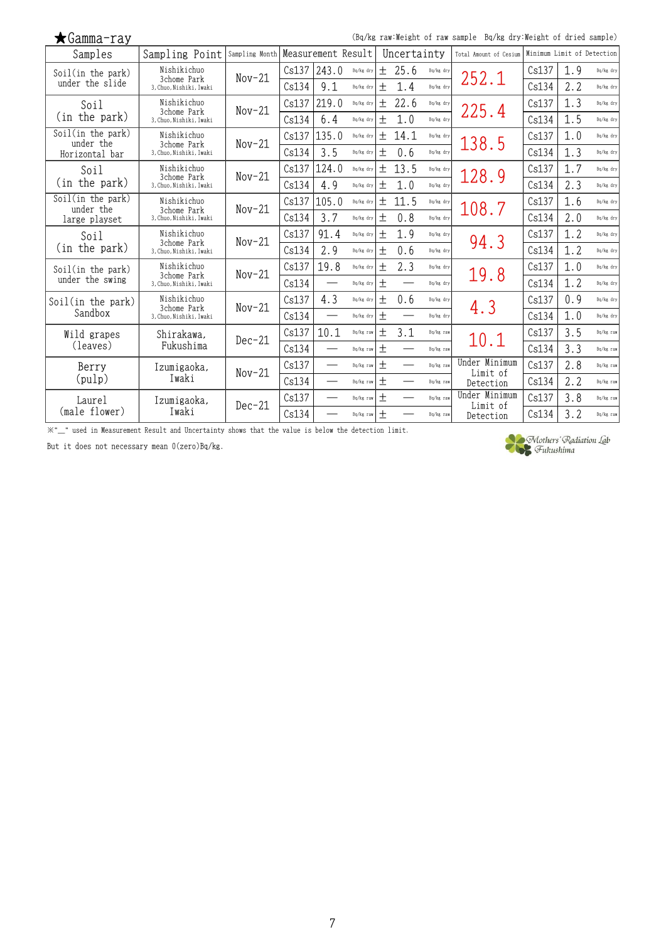| $\bigstar$ Gamma-ray           |                                        |                |       |                    |           |        |             |           | (Bq/kg raw:Weight of raw sample Bq/kg dry:Weight of dried sample) |                            |     |           |
|--------------------------------|----------------------------------------|----------------|-------|--------------------|-----------|--------|-------------|-----------|-------------------------------------------------------------------|----------------------------|-----|-----------|
| Samples                        | Sampling Point                         | Sampling Month |       | Measurement Result |           |        | Uncertainty |           | Total Amount of Cesium                                            | Minimum Limit of Detection |     |           |
| Soil(in the park)              | Nishikichuo<br>3chome Park             | $Nov-21$       | Cs137 | 243.0              | Bq/kg dry |        | ± 25.6      | Bq/kg dry | 252.1                                                             | Cs137                      | 1.9 | Bq/kg dry |
| under the slide                | 3. Chuo. Nishiki. Iwaki                |                | Cs134 | 9.1                | Bq/kg dry | 土      | 1.4         | Bq/kg dry |                                                                   | Cs134                      | 2.2 | Bq/kg dry |
| Soil                           | Nishikichuo                            | $Nov-21$       | Cs137 | 219.0              | Bq/kg dry | 土      | 22.6        | Bq/kg dry | 225.4                                                             | Cs137                      | 1.3 | Bq/kg dry |
| (in the park)                  | 3chome Park<br>3, Chuo, Nishiki, Iwaki |                | Cs134 | 6.4                | Bq/kg dry | 土      | 1.0         | Bq/kg dry |                                                                   | Cs134                      | 1.5 | Bq/kg dry |
| Soil(in the park)<br>under the | Nishikichuo                            | $Nov-21$       | Cs137 | 135.0              | Bq/kg dry | 土      | 14.1        | Bq/kg dry | 138.5                                                             | Cs137                      | 1.0 | Bq/kg dry |
| Horizontal bar                 | 3chome Park<br>3. Chuo. Nishiki. Iwaki |                | Cs134 | 3.5                | Bq/kg dry | $^{+}$ | 0.6         | Bq/kg dry |                                                                   | Cs134                      | 1.3 | Bq/kg dry |
| Soil                           | Nishikichuo                            | $Nov-21$       | Cs137 | 124.0              | Bq/kg dry | 土      | 13.5        | Bq/kg dry | 128.9                                                             | Cs137                      | 1.7 | Bq/kg dry |
| (in the park)                  | 3chome Park<br>3. Chuo. Nishiki. Iwaki |                | Cs134 | 4.9                | Bq/kg dry | $^{+}$ | 1.0         | Bq/kg dry |                                                                   | Cs134                      | 2.3 | Bq/kg dry |
| Soil(in the park)<br>under the | Nishikichuo                            | $Nov-21$       | Cs137 | 105.0              | Bq/kg dry | 土      | 11.5        | Bq/kg dry | 108.7                                                             | Cs137                      | 1.6 | Bq/kg dry |
| large playset                  | 3chome Park<br>3, Chuo, Nishiki, Iwaki |                | Cs134 | 3.7                | Bq/kg dry | $^{+}$ | 0.8         | Bq/kg dry |                                                                   | Cs134                      | 2.0 | Bq/kg dry |
| Soil                           | Nishikichuo                            | $Nov-21$       | Cs137 | 91.4               | Bq/kg dry | 土      | 1.9         | Bq/kg dry | 94.3                                                              | Cs137                      | 1.2 | Bq/kg dry |
| (in the park)                  | 3chome Park<br>3, Chuo, Nishiki, Iwaki |                | Cs134 | 2.9                | Bq/kg dry | $\pm$  | 0.6         | Bq/kg dry |                                                                   | Cs134                      | 1.2 | Bq/kg dry |
| Soil(in the park)              | Nishikichuo<br>3chome Park             | $Nov-21$       | Cs137 | 19.8               | Bq/kg dry | $^{+}$ | 2.3         | Bq/kg dry | 19.8                                                              | Cs137                      | 1.0 | Bq/kg dry |
| under the swing                | 3. Chuo. Nishiki. Iwaki                |                | Cs134 |                    | Bq/kg dry | $^{+}$ |             | Bq/kg dry |                                                                   | Cs134                      | 1.2 | Bq/kg dry |
| Soil(in the park)              | Nishikichuo<br>3chome Park             | $Nov-21$       | Cs137 | 4.3                | Bq/kg dry | 土      | 0.6         | Bq/kg dry | 4.3                                                               | Cs137                      | 0.9 | Bq/kg dry |
| Sandbox                        | 3, Chuo, Nishiki, Iwaki                |                | Cs134 |                    | Bq/kg dry | 土      |             | Bq/kg dry |                                                                   | Cs134                      | 1.0 | Bq/kg dry |
| Wild grapes                    | Shirakawa.                             | $Dec-21$       | Cs137 | 10.1               | Bq/kg raw | 土      | 3.1         | Bq/kg raw | 10.1                                                              | Cs137                      | 3.5 | Bq/kg raw |
| (leaves)                       | Fukushima                              |                | Cs134 |                    | Bq/kg raw | 土      |             | Bq/kg raw |                                                                   | Cs134                      | 3.3 | Bq/kg raw |
| Berry                          | Izumigaoka,                            | $Nov-21$       | Cs137 | $\qquad \qquad$    | Bq/kg raw | 土      |             | Bq/kg raw | Under Minimum<br>Limit of                                         | Cs137                      | 2.8 | Bq/kg raw |
| (pulp)                         | Iwaki                                  |                | Cs134 |                    | Bq/kg raw | 土      |             | Bq/kg raw | Detection                                                         | Cs134                      | 2.2 | Bq/kg raw |
| Laurel                         | Izumigaoka,                            | $Dec-21$       | Cs137 |                    | Bq/kg raw | $\pm$  |             | Ba/kg raw | Under Minimum<br>Limit of                                         | Cs137                      | 3.8 | Bq/kg raw |
| (male flower)                  | Iwaki                                  |                | Cs134 |                    | Bq/kg raw | 土      |             | Bq/kg raw | Detection                                                         | Cs134                      | 3.2 | Bq/kg raw |

 $\mathbb{X}^{n}-$  used in Measurement Result and Uncertainty shows that the value is below the detection limit.

But it does not necessary mean 0(zero)Bq/kg.



Mothers' Radiation Lab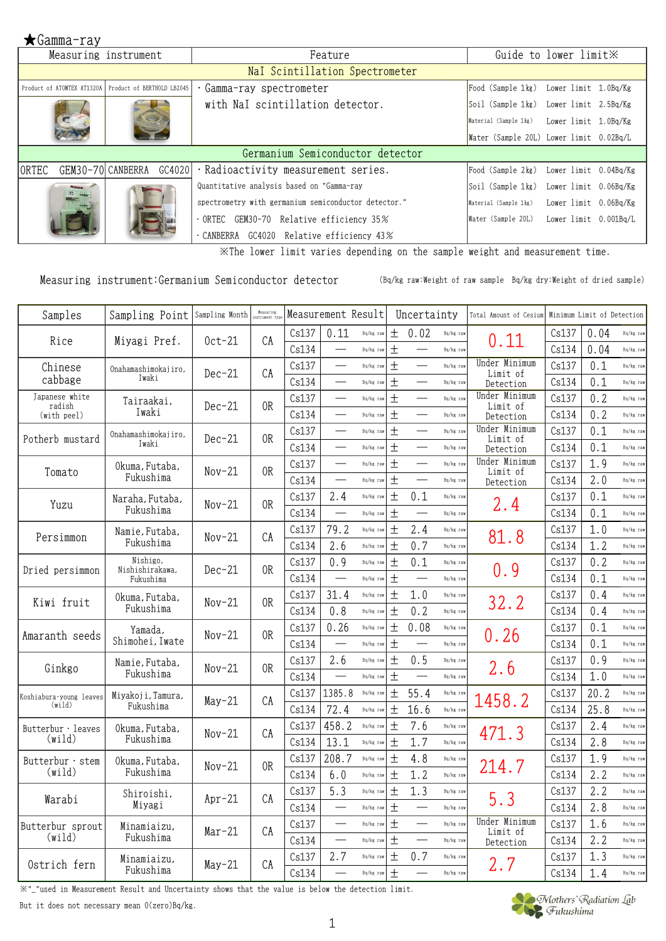|                                   | Measuring instrument                                  | Feature                                              |                                             | Guide to lower limit XX |  |
|-----------------------------------|-------------------------------------------------------|------------------------------------------------------|---------------------------------------------|-------------------------|--|
|                                   |                                                       | Nal Scintillation Spectrometer                       |                                             |                         |  |
|                                   | Product of ATOMTEX AT1320A Product of BERTHOLD LB2045 | Gamma-ray spectrometer                               | Food (Sample 1kg)                           | Lower limit 1.0Bq/Kg    |  |
|                                   |                                                       | with NaI scintillation detector.                     | Soil (Sample 1kg) Lower limit 2.5Bq/Kg      |                         |  |
|                                   |                                                       |                                                      | Material (Sample 1kg) Lower limit 1.0Bq/Kg  |                         |  |
|                                   |                                                       |                                                      | Water (Sample 20L) Lower limit 0.02Bq/L     |                         |  |
|                                   |                                                       | Germanium Semiconductor detector                     |                                             |                         |  |
| GEM30-70 CANBERRA<br><b>ORTEC</b> | GC4020                                                | Radioactivity measurement series.                    | Food (Sample 2kg) Lower limit 0.04Bq/Kg     |                         |  |
|                                   |                                                       | Quantitative analysis based on "Gamma-ray            | Soil (Sample 1kg) Lower limit 0.06Bq/Kg     |                         |  |
|                                   |                                                       | spectrometry with germanium semiconductor detector." | Material (Sample 1kg) Lower limit 0.06Bq/Kg |                         |  |
|                                   |                                                       | ORTEC GEM30-70 Relative efficiency 35%               | Water (Sample 20L) Lower limit 0.001Bq/L    |                         |  |
|                                   |                                                       | $\cdot$ CANBERRA GC4020 Relative efficiency 43%      |                                             |                         |  |

※The lower limit varies depending on the sample weight and measurement time.

Measuring instrument:Germanium Semiconductor detector (Bq/kg raw:Weight of raw sample Bq/kg dry:Weight of dried sample)

| Samples                           | Sampling Point                   | Sampling Month | Measuring<br>strument tvi |       | Measurement Result       |           |       | Uncertainty              |           | Total Amount of Cesium    | Minimum Limit of Detection |      |           |
|-----------------------------------|----------------------------------|----------------|---------------------------|-------|--------------------------|-----------|-------|--------------------------|-----------|---------------------------|----------------------------|------|-----------|
| Rice                              | Miyagi Pref.                     | $0ct-21$       | CA                        | Cs137 | 0.11                     | Bq/kg raw | $\pm$ | 0.02                     | Bq/kg raw | 0.11                      | Cs137                      | 0.04 | Bq/kg raw |
|                                   |                                  |                |                           | Cs134 |                          | Bq/kg raw | $\pm$ |                          | Bq/kg raw |                           | Cs134                      | 0.04 | Bq/kg raw |
| Chinese                           | Onahamashimokajiro.              | $Dec-21$       | CA                        | Cs137 |                          | Bq/kg raw | $\pm$ | $\overline{\phantom{0}}$ | Bq/kg raw | Under Minimum<br>Limit of | Cs137                      | 0.1  | Bq/kg raw |
| cabbage                           | Iwaki                            |                |                           | Cs134 |                          | Bq/kg raw | $\pm$ |                          | Bq/kg raw | Detection                 | Cs134                      | 0.1  | Bq/kg raw |
| Japanese white<br>radish          | Tairaakai,                       | $Dec-21$       | 0R                        | Cs137 |                          | Bq/kg raw | $\pm$ |                          | Bq/kg raw | Under Minimum<br>Limit of | Cs137                      | 0.2  | Bq/kg raw |
| (with peel)                       | Iwaki                            |                |                           | Cs134 |                          | Bq/kg raw | $\pm$ |                          | Bq/kg raw | Detection                 | Cs134                      | 0.2  | Bq/kg raw |
| Potherb mustard                   | Onahamashimokajiro,              | $Dec-21$       | 0 <sub>R</sub>            | Cs137 |                          | Bq/kg raw | $\pm$ |                          | Bq/kg raw | Under Minimum<br>Limit of | Cs137                      | 0.1  | Bq/kg raw |
|                                   | Iwaki                            |                |                           | Cs134 |                          | Bq/kg raw | $\pm$ |                          | Bq/kg raw | Detection                 | Cs134                      | 0.1  | Bq/kg raw |
| Tomato                            | Okuma, Futaba,                   | $Nov-21$       | 0 <sub>R</sub>            | Cs137 |                          | Bq/kg raw | $\pm$ |                          | Bq/kg raw | Under Minimum<br>Limit of | Cs137                      | 1.9  | Bq/kg raw |
|                                   | Fukushima                        |                |                           | Cs134 |                          | Bq/kg raw | $\pm$ |                          | Bq/kg raw | Detection                 | Cs134                      | 2.0  | Bq/kg raw |
| Yuzu                              | Naraha, Futaba,                  | $Nov-21$       | 0R                        | Cs137 | 2.4                      | Bq/kg raw | $\pm$ | 0.1                      | Bq/kg raw | 2.4                       | Cs137                      | 0.1  | Bq/kg raw |
|                                   | Fukushima                        |                |                           | Cs134 |                          | Bq/kg raw | $\pm$ |                          | Bq/kg raw |                           | Cs134                      | 0.1  | Bq/kg raw |
| Persimmon                         | Namie, Futaba,                   | $Nov-21$       | CA                        | Cs137 | 79.2                     | Bq/kg raw | $\pm$ | 2.4                      | Bq/kg raw | 81.8                      | Cs137                      | 1.0  | Bq/kg raw |
|                                   | Fukushima                        |                |                           | Cs134 | 2.6                      | Bq/kg raw | 土     | 0.7                      | Bq/kg raw |                           | Cs134                      | 1.2  | Bq/kg raw |
| Dried persimmon                   | Nishigo,<br>Nishishirakawa,      | $Dec-21$       | 0R                        | Cs137 | 0.9                      | Bq/kg raw | $\pm$ | 0.1                      | Bq/kg raw | 0.9                       | Cs137                      | 0.2  | Bq/kg raw |
|                                   | Fukushima                        |                |                           | Cs134 |                          | Bq/kg raw | $\pm$ |                          | Bq/kg raw |                           | Cs134                      | 0.1  | Bq/kg raw |
| Kiwi fruit                        | Okuma, Futaba,                   | $Nov-21$       | 0R                        | Cs137 | 31.4                     | Bq/kg raw | $\pm$ | 1.0                      | Bq/kg raw | 32.2                      | Cs137                      | 0.4  | Bq/kg raw |
|                                   | Fukushima                        |                |                           | Cs134 | 0.8                      | Bq/kg raw | 土     | 0.2                      | Bq/kg raw |                           | Cs134                      | 0.4  | Bq/kg raw |
| Amaranth seeds                    | Yamada,                          | $Nov-21$       | 0R                        | Cs137 | 0.26                     | Bq/kg raw | $\pm$ | 0.08                     | Bq/kg raw | 0.26                      | Cs137                      | 0.1  | Bq/kg raw |
|                                   | Shimohei, Iwate                  |                |                           | Cs134 |                          | Bq/kg raw | $\pm$ |                          | Bq/kg raw |                           | Cs134                      | 0.1  | Bq/kg raw |
| Ginkgo                            | Namie, Futaba,                   | $Nov-21$       | 0R                        | Cs137 | 2.6                      | Bq/kg raw | $\pm$ | 0.5                      | Bq/kg raw | 2.6                       | Cs137                      | 0.9  | Bq/kg raw |
|                                   | Fukushima                        |                |                           | Cs134 |                          | Bq/kg raw | 土     |                          | Bq/kg raw |                           | Cs134                      | 1.0  | Bq/kg raw |
| Koshiabura young leaves<br>(wild) | Miyakoji, Tamura,<br>Fukushima   | $May-21$       | CA                        | Cs137 | 1385.8                   | Bq/kg raw | $\pm$ | 55.4                     | Bq/kg raw | 1458.2                    | Cs137                      | 20.2 | Bq/kg raw |
|                                   |                                  |                |                           | Cs134 | 72.4                     | Bq/kg raw | $\pm$ | 16.6                     | Bq/kg raw |                           | Cs134                      | 25.8 | Bq/kg raw |
| Butterbur · leaves                | Okuma. Futaba.                   | $Nov-21$       | CA                        | Cs137 | 458.2                    | Bq/kg raw | 土     | 7.6                      | Bq/kg raw | 471.3                     | Cs137                      | 2.4  | Bq/kg raw |
| (wild)                            | Fukushima                        |                |                           | Cs134 | 13.1                     | Bq/kg raw | $\pm$ | 1.7                      | Bq/kg raw |                           | Cs134                      | 2.8  | Bq/kg raw |
| Butterbur · stem<br>(wild)        | Okuma, Futaba,<br>Fukushima      | $Nov-21$       | 0 <sub>R</sub>            | Cs137 | 208.7                    | Bq/kg raw | $\pm$ | 4.8                      | Bq/kg raw | 214.7                     | Cs137                      | 1.9  | Bq/kg raw |
|                                   |                                  |                |                           | Cs134 | 6.0                      | Bq/kg raw | 土     | 1.2                      | Bq/kg raw |                           | Cs134                      | 2.2  | Bq/kg raw |
| Warabi                            | Shiroishi,                       | $Apr-21$       | CA                        | Cs137 | 5.3                      | Bq/kg raw | $\pm$ | 1.3                      | Bq/kg raw | 5.3                       | Cs137                      | 2.2  | Bq/kg raw |
|                                   | Miyagi                           |                |                           | Cs134 | $\qquad \qquad$          | Bq/kg raw | 土     |                          | Bq/kg raw | Under Minimum             | Cs134                      | 2.8  | Bq/kg raw |
| Butterbur sprout<br>(wild)        | Minamiaizu.<br>Fukushima         | Mar-21         | CA                        | Cs137 | $\overline{\phantom{0}}$ | Bq/kg raw | $\pm$ |                          | Bq/kg raw | Limit of                  | Cs137                      | 1.6  | Bq/kg raw |
|                                   |                                  |                |                           | Cs134 |                          | Bq/kg raw | $\pm$ |                          | Bq/kg raw | Detection                 | Cs134                      | 2.2  | Bq/kg raw |
| Ostrich fern                      | Minamiaizu <i>.</i><br>Fukushima | $May-21$       | CA                        | Cs137 | 2.7                      | Bq/kg raw | $\pm$ | 0.7                      | Bq/kg raw | 2.7                       | Cs137                      | 1.3  | Bq/kg raw |
|                                   |                                  |                |                           | Cs134 |                          | Bq/kg raw | 土     |                          | Bq/kg raw |                           | Cs134                      | 1.4  | Bq/kg raw |

※"\_"used in Measurement Result and Uncertainty shows that the value is below the detection limit.

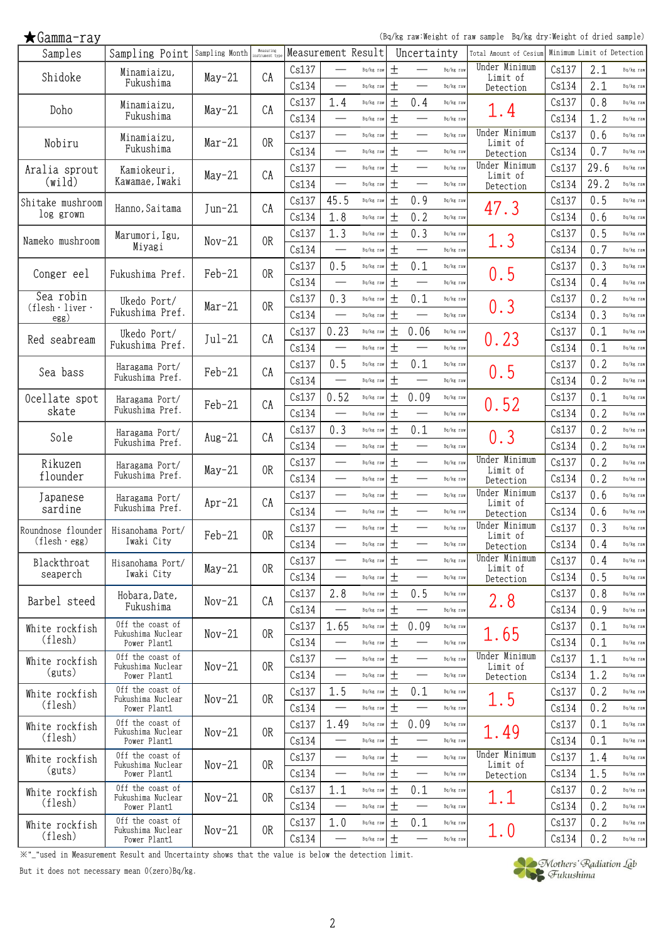(Bq/kg raw:Weight of raw sample Bq/kg dry:Weight of dried sample)

| Samples                                         | Sampling Point Sampling Month         |          | Measuring<br>instrument typ |       |                          | Measurement Result |       | Uncertainty                       |           | Total Amount of Cesium     | Minimum Limit of Detection |      |           |
|-------------------------------------------------|---------------------------------------|----------|-----------------------------|-------|--------------------------|--------------------|-------|-----------------------------------|-----------|----------------------------|----------------------------|------|-----------|
| Shidoke                                         | Minamiaizu,                           | $May-21$ | CA                          | Cs137 |                          | Bq/kg raw          | $\pm$ |                                   | Bq/kg raw | Under Minimum<br>Limit of  | Cs137                      | 2.1  | Bq/kg raw |
|                                                 | Fukushima                             |          |                             | Cs134 |                          | Bq/kg raw          | $\pm$ | $\overbrace{\phantom{123221111}}$ | Bq/kg raw | Detection                  | Cs134                      | 2.1  | Bq/kg raw |
| Doho                                            | Minamiaizu,                           | $May-21$ | СA                          | Cs137 | 1.4                      | Bq/kg raw          | 土     | 0.4                               | Bq/kg raw | 1.4                        | Cs137                      | 0.8  | Bq/kg raw |
|                                                 | Fukushima                             |          |                             | Cs134 |                          | Bq/kg raw          | $\pm$ |                                   | Bq/kg raw |                            | Cs134                      | 1.2  | Bq/kg raw |
| Nobiru                                          | Minamiaizu,                           | $Mar-21$ | 0R                          | Cs137 |                          | Bq/kg raw          | $\pm$ |                                   | Bq/kg raw | Under Minimum<br>Limit of  | Cs137                      | 0.6  | Bq/kg raw |
|                                                 | Fukushima                             |          |                             | Cs134 | $\overline{\phantom{0}}$ | Bq/kg raw          | $\pm$ | $\overbrace{\phantom{123221111}}$ | Bq/kg raw | Detection                  | Cs134                      | 0.7  | Bq/kg raw |
| Aralia sprout                                   | Kamiokeuri,                           | $May-21$ | CA                          | Cs137 |                          | Bq/kg raw          | $\pm$ |                                   | Bq/kg raw | Under Minimum<br>Limit of  | Cs137                      | 29.6 | Bq/kg raw |
| (wild)                                          | Kawamae, Iwaki                        |          |                             | Cs134 |                          | Bq/kg raw          | $\pm$ | $\overbrace{\phantom{123221111}}$ | Bq/kg raw | Detection                  | Cs134                      | 29.2 | Bq/kg raw |
| Shitake mushroom                                |                                       |          | CA                          | Cs137 | 45.5                     | Bq/kg raw          | $\pm$ | 0.9                               | Bq/kg raw |                            | Cs137                      | 0.5  | Bq/kg raw |
| log grown                                       | Hanno, Saitama                        | $Jun-21$ |                             | Cs134 | 1.8                      | Bq/kg raw          | $\pm$ | 0.2                               | Bq/kg raw | 47.3                       | Cs134                      | 0.6  | Bq/kg raw |
|                                                 | Marumori, Igu,                        |          | 0R                          | Cs137 | 1.3                      | Bq/kg raw          | $\pm$ | 0.3                               | Bq/kg raw |                            | Cs137                      | 0.5  | Bq/kg raw |
| Nameko mushroom                                 | Miyagi                                | $Nov-21$ |                             | Cs134 | $\overline{\phantom{0}}$ | Bq/kg raw          | $\pm$ |                                   | Bq/kg raw | 1.3                        | Cs134                      | 0.7  | Bq/kg raw |
|                                                 |                                       |          |                             | Cs137 | 0.5                      | Bq/kg raw          | $\pm$ | 0.1                               | Bq/kg raw |                            | Cs137                      | 0.3  | Bq/kg raw |
| Conger eel                                      | Fukushima Pref.                       | Feb-21   | 0R                          | Cs134 |                          | Bq/kg raw          | $\pm$ |                                   | Bq/kg raw | 0.5                        | Cs134                      | 0.4  | Bq/kg raw |
| Sea robin                                       | Ukedo Port/                           |          |                             | Cs137 | 0.3                      | Bq/kg raw          | $\pm$ | 0.1                               | Bq/kg raw |                            | Cs137                      | 0.2  | Bq/kg raw |
| $(\text{flesh} \cdot \text{live} \cdot$<br>egg) | Fukushima Pref.                       | $Mar-21$ | 0R                          | Cs134 | $\overline{\phantom{0}}$ | Bq/kg raw          | $\pm$ |                                   | Bq/kg raw | 0.3                        | Cs134                      | 0.3  | Bq/kg raw |
|                                                 | Ukedo Port/                           |          |                             | Cs137 | 0.23                     | Bq/kg raw          | $\pm$ | 0.06                              | Bq/kg raw |                            | Cs137                      | 0.1  | Bq/kg raw |
| Red seabream                                    | Fukushima Pref.                       | $Jul-21$ | СA                          | Cs134 |                          | Bq/kg raw          | $\pm$ |                                   | Bq/kg raw | 0.23                       | Cs134                      | 0.1  | Bq/kg raw |
|                                                 | Haragama Port/                        |          |                             | Cs137 | 0.5                      | Bq/kg raw          | 土     | 0.1                               | Bq/kg raw |                            | Cs137                      | 0.2  | Bq/kg raw |
| Sea bass                                        | Fukushima Pref.                       | Feb-21   | CA                          | Cs134 |                          | Bq/kg raw          | $\pm$ | $\overbrace{\phantom{123221111}}$ | Bq/kg raw | 0.5                        | Cs134                      | 0.2  | Bq/kg raw |
| Ocellate spot                                   | Haragama Port/                        |          |                             | Cs137 | 0.52                     | Bq/kg raw          | $\pm$ | 0.09                              | Bq/kg raw |                            | Cs137                      | 0.1  | Bq/kg raw |
| skate                                           | Fukushima Pref.                       | Feb-21   | CA                          | Cs134 | $\overline{\phantom{0}}$ | Bq/kg raw          | $\pm$ | $\overbrace{\phantom{123221111}}$ | Bq/kg raw | 0.52                       | Cs134                      | 0.2  | Bq/kg raw |
|                                                 | Haragama Port/                        |          |                             | Cs137 | 0.3                      | Bq/kg raw          | $\pm$ | 0.1                               | Bq/kg raw |                            | Cs137                      | 0.2  | Bq/kg raw |
| Sole                                            | Fukushima Pref.                       | $Aug-21$ | CA                          | Cs134 |                          | Bq/kg raw          | $\pm$ |                                   | Bq/kg raw | 0.3                        | Cs134                      | 0.2  | Bq/kg raw |
| Rikuzen                                         | Haragama Port/                        |          |                             | Cs137 |                          | Bq/kg raw          | $\pm$ |                                   | Bq/kg raw | Under Minimum              | Cs137                      | 0.2  | Bq/kg raw |
| flounder                                        | Fukushima Pref.                       | $May-21$ | 0R                          | Cs134 | $\overline{\phantom{0}}$ | Bq/kg raw          | $\pm$ |                                   | Bq/kg raw | Limit of<br>Detection      | Cs134                      | 0.2  | Bq/kg raw |
| Japanese                                        |                                       |          |                             | Cs137 | $\qquad \qquad \qquad$   | Bq/kg raw          | $\pm$ |                                   | Bq/kg raw | Under Minimum              | Cs137                      | 0.6  | Bq/kg raw |
| sardine                                         | Haragama Port/<br>Fukushima Pref.     | $Apr-21$ | CA                          | Cs134 |                          | Bq/kg raw          | 土     |                                   | Bq/kg raw | Limit of<br>Detection      | Cs134                      | 0.6  | Bq/kg raw |
|                                                 |                                       |          |                             | Cs137 |                          | Bq/kg raw          | $\pm$ |                                   | Bq/kg raw | Under Minimum              | Cs137                      | 0.3  | Bq/kg raw |
| Roundnose flounder<br>$(flesh \cdot egg)$       | Hisanohama Port/<br>Iwaki City        | Feb-21   | 0R                          | Cs134 | $\overline{\phantom{0}}$ | Bq/kg raw          | $\pm$ |                                   | Bq/kg raw | Limit of                   | Cs134                      | 0.4  | Bq/kg raw |
|                                                 |                                       |          |                             | Cs137 | $\overline{\phantom{0}}$ | Bq/kg raw          | $\pm$ |                                   | Bq/kg raw | Detection<br>Under Minimum | Cs137                      | 0.4  | Bq/kg raw |
| Blackthroat<br>seaperch                         | Hisanohama Port/<br>Iwaki City        | $May-21$ | 0R                          | Cs134 |                          | Bq/kg raw          | $\pm$ |                                   | Bq/kg raw | Limit of                   | Cs134                      | 0.5  | Bq/kg raw |
|                                                 |                                       |          |                             | Cs137 | 2.8                      | Bq/kg raw          | $\pm$ | 0.5                               | Bq/kg raw | Detection                  | Cs137                      | 0.8  | Bq/kg raw |
| Barbel steed                                    | Hobara, Date,<br>Fukushima            | $Nov-21$ | CA                          | Cs134 |                          | Bq/kg raw          | $\pm$ |                                   | Bq/kg raw | 2.8                        | Cs134                      | 0.9  |           |
|                                                 | Off the coast of                      |          |                             |       |                          |                    | $\pm$ |                                   |           |                            |                            |      | Bq/kg raw |
| White rockfish<br>(flesh)                       | Fukushima Nuclear                     | $Nov-21$ | 0R                          | Cs137 | 1.65                     | Bq/kg raw          |       | 0.09                              | Bq/kg raw | 1.65                       | Cs137                      | 0.1  | Bq/kg raw |
|                                                 | Power Plant1<br>Off the coast of      |          |                             | Cs134 |                          | Bq/kg raw          | $\pm$ | $\overbrace{\phantom{12322111}}$  | Bq/kg raw | Under Minimum              | Cs134                      | 0.1  | Bq/kg raw |
| White rockfish<br>(guts)                        | Fukushima Nuclear                     | $Nov-21$ | 0R                          | Cs137 |                          | Bq/kg raw          | $\pm$ |                                   | Bq/kg raw | Limit of                   | Cs137                      | 1.1  | Bq/kg raw |
|                                                 | Power Plant1                          |          |                             | Cs134 |                          | Bq/kg raw          | $\pm$ | $\overbrace{\phantom{123221111}}$ | Bq/kg raw | Detection                  | Cs134                      | 1.2  | Bq/kg raw |
| White rockfish<br>(flesh)                       | Off the coast of<br>Fukushima Nuclear | $Nov-21$ | 0R                          | Cs137 | 1.5                      | Bq/kg raw          | 土     | 0.1                               | Bq/kg raw | 1.5                        | Cs137                      | 0.2  | Bq/kg raw |
|                                                 | Power Plant1                          |          |                             | Cs134 |                          | Bq/kg raw          | $\pm$ | $\overbrace{\phantom{123221111}}$ | Bq/kg raw |                            | Cs134                      | 0.2  | Bq/kg raw |
| White rockfish                                  | Off the coast of<br>Fukushima Nuclear | $Nov-21$ | 0R                          | Cs137 | 1.49                     | Bq/kg raw          | $\pm$ | 0.09                              | Bq/kg raw | 1.49                       | Cs137                      | 0.1  | Bq/kg raw |
| (flesh)                                         | Power Plant1                          |          |                             | Cs134 | $\overline{\phantom{0}}$ | Bq/kg raw          | $\pm$ |                                   | Bq/kg raw |                            | Cs134                      | 0.1  | Bq/kg raw |
| White rockfish                                  | Off the coast of<br>Fukushima Nuclear | $Nov-21$ | 0R                          | Cs137 |                          | Bq/kg raw          | $\pm$ |                                   | Bq/kg raw | Under Minimum<br>Limit of  | Cs137                      | 1.4  | Bq/kg raw |
| (guts)                                          | Power Plant1                          |          |                             | Cs134 | $\overline{\phantom{0}}$ | Bq/kg raw          | 土     | $\overline{\phantom{0}}$          | Bq/kg raw | Detection                  | Cs134                      | 1.5  | Bq/kg raw |
| White rockfish                                  | Off the coast of<br>Fukushima Nuclear | $Nov-21$ | 0 <sub>R</sub>              | Cs137 | 1.1                      | Bq/kg raw          | 土     | 0.1                               | Bq/kg raw | 1.1                        | Cs137                      | 0.2  | Bq/kg raw |
| (flesh)                                         | Power Plant1                          |          |                             | Cs134 | $\overline{\phantom{0}}$ | Bq/kg raw          | $\pm$ |                                   | Bq/kg raw |                            | Cs134                      | 0.2  | Bq/kg raw |
| White rockfish                                  | Off the coast of<br>Fukushima Nuclear | $Nov-21$ | 0R                          | Cs137 | 1.0                      | Bq/kg raw          | $\pm$ | 0.1                               | Bq/kg raw | 1.0                        | Cs137                      | 0.2  | Bq/kg raw |
| (flesh)                                         | Power Plant1                          |          |                             | Cs134 |                          | Bq/kg raw          | $\pm$ |                                   | Bq/kg raw |                            | Cs134                      | 0.2  | Bq/kg raw |

※"\_"used in Measurement Result and Uncertainty shows that the value is below the detection limit.

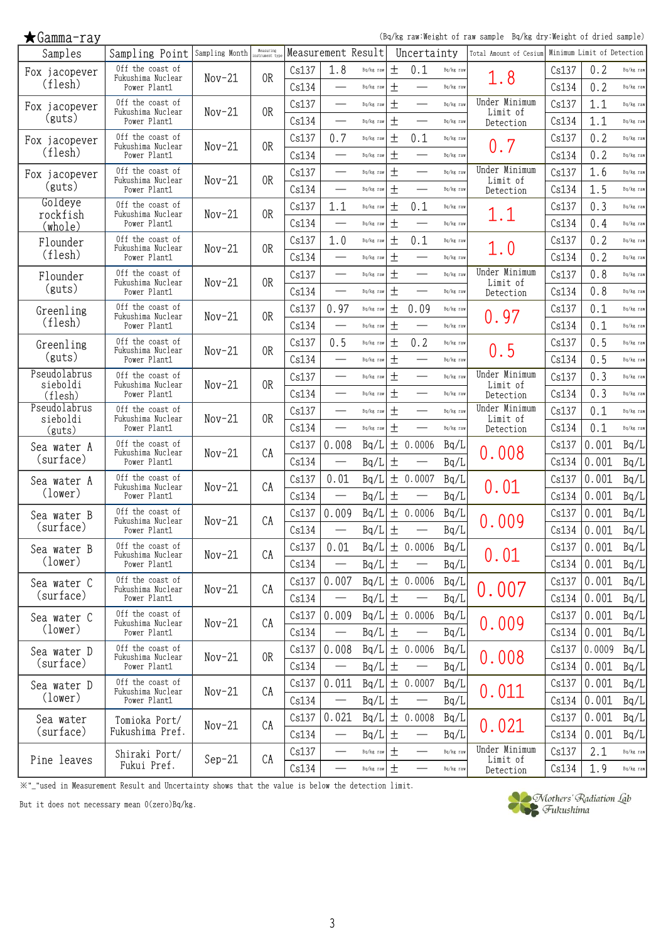(Bq/kg raw:Weight of raw sample Bq/kg dry:Weight of dried sample)

| Samples                  | Sampling Point                        | Sampling Month | Measuring<br>instrument tvp | Measurement Result |                                   |           |       | Uncertainty              |           | Total Amount of Cesium    |       | Minimum Limit of Detection |           |
|--------------------------|---------------------------------------|----------------|-----------------------------|--------------------|-----------------------------------|-----------|-------|--------------------------|-----------|---------------------------|-------|----------------------------|-----------|
| Fox jacopever            | Off the coast of<br>Fukushima Nuclear |                | 0R                          | Cs137              | 1.8                               | Bq/kg raw | 土     | 0.1                      | Bq/kg raw |                           | Cs137 | 0.2                        | Bq/kg raw |
| (flesh)                  | Power Plant1                          | $Nov-21$       |                             | Cs134              |                                   | Bq/kg raw | $\pm$ |                          | Bq/kg raw | 1.8                       | Cs134 | 0.2                        | Bq/kg raw |
| Fox jacopever            | Off the coast of<br>Fukushima Nuclear | $Nov-21$       | 0 <sub>R</sub>              | Cs137              | $\overline{\phantom{0}}$          | Bq/kg raw | $\pm$ |                          | Bq/kg raw | Under Minimum<br>Limit of | Cs137 | 1.1                        | Bq/kg raw |
| (guts)                   | Power Plant1                          |                |                             | Cs134              | $\overline{\phantom{0}}$          | Bq/kg raw | $\pm$ |                          | Bq/kg raw | Detection                 | Cs134 | 1.1                        | Bq/kg raw |
| Fox jacopever            | Off the coast of<br>Fukushima Nuclear | $Nov-21$       | 0 <sub>R</sub>              | Cs137              | 0.7                               | Bq/kg raw | $\pm$ | 0.1                      | Bq/kg raw | 0.7                       | Cs137 | 0.2                        | Bq/kg raw |
| (flesh)                  | Power Plant1                          |                |                             | Cs134              |                                   | Bq/kg raw | $\pm$ |                          | Bq/kg raw |                           | Cs134 | 0.2                        | Bq/kg raw |
| Fox jacopever            | Off the coast of<br>Fukushima Nuclear | $Nov-21$       | 0R                          | Cs137              |                                   | Bq/kg raw | $\pm$ |                          | Bq/kg raw | Under Minimum<br>Limit of | Cs137 | 1.6                        | Bq/kg raw |
| (guts)                   | Power Plant1                          |                |                             | Cs134              | $\overline{\phantom{0}}$          | Bq/kg raw | $\pm$ | $\overline{\phantom{a}}$ | Bq/kg raw | Detection                 | Cs134 | 1.5                        | Bq/kg raw |
| Goldeye<br>rockfish      | Off the coast of<br>Fukushima Nuclear | $Nov-21$       | 0R                          | Cs137              | 1.1                               | Bq/kg raw | $\pm$ | 0.1                      | Bq/kg raw | 1.1                       | Cs137 | 0.3                        | Bq/kg raw |
| (whole)                  | Power Plant1                          |                |                             | Cs134              |                                   | Bq/kg raw | $\pm$ |                          | Bq/kg raw |                           | Cs134 | 0.4                        | Bq/kg raw |
| Flounder                 | Off the coast of<br>Fukushima Nuclear | $Nov-21$       | 0 <sub>R</sub>              | Cs137              | 1.0                               | Bq/kg raw | $\pm$ | 0.1                      | Bq/kg raw | 1.0                       | Cs137 | 0.2                        | Bq/kg raw |
| (flesh)                  | Power Plant1                          |                |                             | Cs134              | $\overline{\phantom{0}}$          | Bq/kg raw | $\pm$ |                          | Bq/kg raw |                           | Cs134 | 0.2                        | Bq/kg raw |
| Flounder                 | Off the coast of<br>Fukushima Nuclear | $Nov-21$       | 0R                          | Cs137              |                                   | Bq/kg raw | $\pm$ |                          | Bq/kg raw | Under Minimum<br>Limit of | Cs137 | 0.8                        | Bq/kg raw |
| (guts)                   | Power Plant1                          |                |                             | Cs134              | $\qquad \qquad \qquad$            | Bq/kg raw | $\pm$ |                          | Bq/kg raw | Detection                 | Cs134 | 0.8                        | Bq/kg raw |
| Greenling                | Off the coast of<br>Fukushima Nuclear | $Nov-21$       | 0R                          | Cs137              | 0.97                              | Bq/kg raw | 土     | 0.09                     | Bq/kg raw | 0.97                      | Cs137 | 0.1                        | Bq/kg raw |
| (flesh)                  | Power Plant1                          |                |                             | Cs134              | $\overline{\phantom{0}}$          | Bq/kg raw | $\pm$ |                          | Bq/kg raw |                           | Cs134 | 0.1                        | Bq/kg raw |
| Greenling                | Off the coast of<br>Fukushima Nuclear | $Nov-21$       | 0 <sub>R</sub>              | Cs137              | 0.5                               | Bq/kg raw | $\pm$ | 0.2                      | Bq/kg raw | 0.5                       | Cs137 | 0.5                        | Bq/kg raw |
| (guts)                   | Power Plant1                          |                |                             | Cs134              |                                   | Bq/kg raw | $\pm$ |                          | Bq/kg raw |                           | Cs134 | 0.5                        | Bq/kg raw |
| Pseudolabrus<br>sieboldi | Off the coast of<br>Fukushima Nuclear | $Nov-21$       | 0R                          | Cs137              |                                   | Bq/kg raw | $\pm$ |                          | Bq/kg raw | Under Minimum<br>Limit of | Cs137 | 0.3                        | Bq/kg raw |
| (flesh)                  | Power Plant1                          |                |                             | Cs134              |                                   | Bq/kg raw | $\pm$ |                          | Bq/kg raw | Detection                 | Cs134 | 0.3                        | Bq/kg raw |
| Pseudolabrus<br>sieboldi | Off the coast of<br>Fukushima Nuclear | $Nov-21$       | 0R                          | Cs137              |                                   | Bq/kg raw | $\pm$ | $\overline{\phantom{0}}$ | Bq/kg raw | Under Minimum<br>Limit of | Cs137 | 0.1                        | Bq/kg raw |
| (guts)                   | Power Plant1                          |                |                             | Cs134              |                                   | Bq/kg raw | $\pm$ |                          | Bq/kg raw | Detection                 | Cs134 | 0.1                        | Bq/kg raw |
| Sea water A              | Off the coast of<br>Fukushima Nuclear | $Nov-21$       | CA                          | Cs137              | 0.008                             | Bq/L      |       | ± 0.0006                 | Bq/L      | 0.008                     | Cs137 | 0.001                      | Bq/L      |
| (surface)                | Power Plant1                          |                |                             | Cs134              |                                   | Bq/L      | $\pm$ |                          | Bq/L      |                           | Cs134 | 0.001                      | Bq/L      |
| Sea water A              | Off the coast of<br>Fukushima Nuclear | $Nov-21$       | CA                          | Cs137              | 0.01                              | Bq/L      |       | ± 0.0007                 | Bq/L      | 0.01                      | Cs137 | 0.001                      | Bq/L      |
| (lower)                  | Power Plant1                          |                |                             | Cs134              | $\overbrace{\phantom{123221111}}$ | Bq/L      | $\pm$ |                          | Bq/L      |                           | Cs134 | 0.001                      | Bq/L      |
| Sea water B              | Off the coast of<br>Fukushima Nuclear | $Nov-21$       | CA                          | Cs137              | 0.009                             | Bq/L      |       | ± 0.0006                 | Bq/L      | 0.009                     | Cs137 | 0.001                      | Bq/L      |
| (surface)                | Power Plant1                          |                |                             | Cs134              |                                   | Bq/L      | $\pm$ |                          | Bq/L      |                           | Cs134 | 0.001                      | Bq/L      |
| Sea water B              | Off the coast of<br>Fukushima Nuclear | $Nov-21$       | CA                          | Cs137              | 0.01                              |           |       | $Bq/L$ $\pm$ 0.0006      | Bq/L      | 0.01                      |       | Cs137 0.001                | Bq/L      |
| (lower)                  | Power Plant1                          |                |                             | Cs134              |                                   | Bq/L      | $\pm$ |                          | Bq/L      |                           | Cs134 | 0.001                      | Bq/L      |
| Sea water C              | Off the coast of<br>Fukushima Nuclear | $Nov-21$       | CA                          | Cs137              | 0.007                             | Bq/L      |       | ± 0.0006                 | Bq/L      | 0.007                     | Cs137 | 0.001                      | Bq/L      |
| (surface)                | Power Plant1                          |                |                             | Cs134              | $\overline{\phantom{0}}$          | Bq/L      | $\pm$ |                          | Bq/L      |                           | Cs134 | 0.001                      | Bq/L      |
| Sea water C              | Off the coast of<br>Fukushima Nuclear | $Nov-21$       | CA                          | Cs137              | 0.009                             | Bq/L      |       | ± 0.0006                 | Bq/L      | 0.009                     | Cs137 | 0.001                      | Bq/L      |
| (lower)                  | Power Plant1                          |                |                             | Cs134              | $\overline{\phantom{0}}$          | Bq/L      | 土     |                          | Bq/L      |                           | Cs134 | 0.001                      | Bq/L      |
| Sea water D              | Off the coast of<br>Fukushima Nuclear | $Nov-21$       | 0 <sub>R</sub>              | Cs137              | 0.008                             | Bq/L      |       | ± 0.0006                 | Bq/L      |                           |       | Cs137 0.0009               | Bq/L      |
| (surface)                | Power Plant1                          |                |                             | Cs134              |                                   | Bq/L      | $\pm$ |                          | Bq/L      | 0.008                     | Cs134 | 0.001                      | Bq/L      |
| Sea water D              | Off the coast of<br>Fukushima Nuclear | $Nov-21$       | CA                          | Cs137              | 0.011                             | Bq/L      |       | ± 0.0007                 | Bq/L      |                           | Cs137 | 0.001                      | Bq/L      |
| (lower)                  | Power Plant1                          |                |                             | Cs134              | $\overline{\phantom{0}}$          | Bq/L      | 土     | $\overline{\phantom{0}}$ | Bq/L      | 0.011                     | Cs134 | 0.001                      | Bq/L      |
| Sea water                | Tomioka Port/                         | $Nov-21$       | CA                          | Cs137              | 0.021                             | Bq/L      |       | ± 0.0008                 | Bq/L      |                           | Cs137 | 0.001                      | Bq/L      |
| (surface)                | Fukushima Pref.                       |                |                             | Cs134              |                                   | Bq/L      | $\pm$ | $\overline{\phantom{0}}$ | Bq/L      | 0.021                     | Cs134 | 0.001                      | Bq/L      |
|                          | Shiraki Port/                         |                |                             | Cs137              |                                   | Bq/kg raw | $\pm$ |                          | Bq/kg raw | Under Minimum             | Cs137 | 2.1                        | Bq/kg raw |
| Pine leaves              | Fukui Pref.                           | $Sep-21$       | CA                          | Cs134              |                                   | Bq/kg raw | 土     |                          | Bq/kg raw | Limit of<br>Detection     | Cs134 | 1.9                        | Bq/kg raw |

※"\_"used in Measurement Result and Uncertainty shows that the value is below the detection limit.

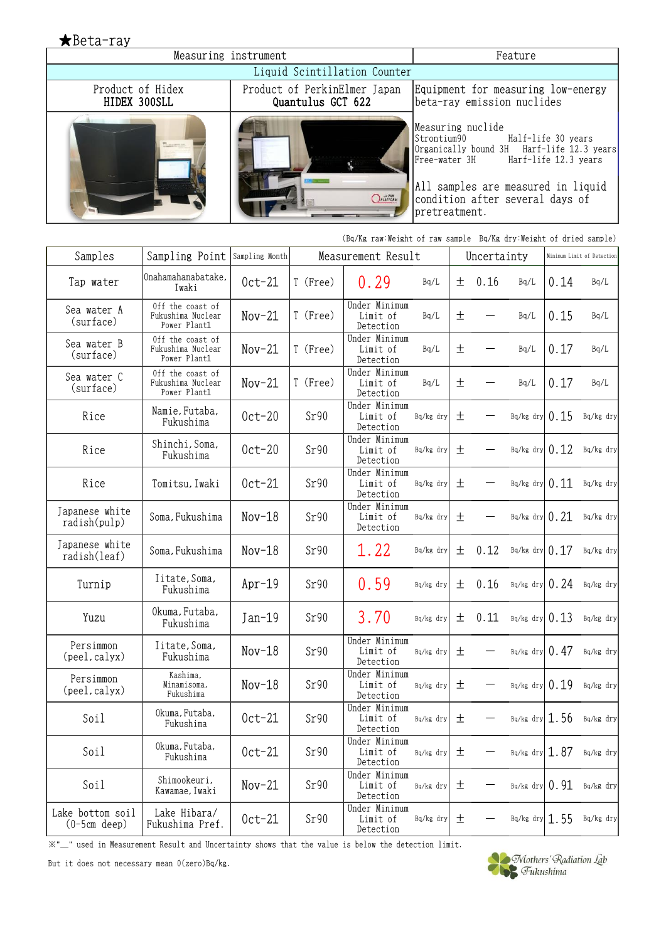★Beta-ray Measuring instrument Feature Liquid Scintillation Counter Product of Hidex Product of PerkinElmer Japan Equipment for measuring low-energy HIDEX 300SLL Quantulus GCT 622 beta-ray emission nuclides Measuring nuclide Strontium90 Half-life 30 years Organically bound 3H Harf-life 12.3 years Free-water 3H Harf-life 12.3 years All samples are measured in liquid *OPLATFORM* condition after several days of **STATISTICS** pretreatment.

|                                    |                                                       |                |          |                                        | (Bq/Kg raw:Weight of raw sample Bq/Kg dry:Weight of dried sample) |   |             |                    |      |                              |
|------------------------------------|-------------------------------------------------------|----------------|----------|----------------------------------------|-------------------------------------------------------------------|---|-------------|--------------------|------|------------------------------|
| Samples                            | Sampling Point                                        | Sampling Month |          | Measurement Result                     |                                                                   |   | Uncertainty |                    |      | Minimum Limit of Detection   |
| Tap water                          | Onahamahanabatake,<br>Iwaki                           | $0ct-21$       | T (Free) | 0.29                                   | Bq/L                                                              | 土 | 0.16        | Bq/L               | 0.14 | Bq/L                         |
| Sea water A<br>(surface)           | Off the coast of<br>Fukushima Nuclear<br>Power Plant1 | $Nov-21$       | T (Free) | Under Minimum<br>Limit of<br>Detection | Bq/L                                                              | 土 |             | Bq/L               | 0.15 | Bq/L                         |
| Sea water B<br>(surface)           | Off the coast of<br>Fukushima Nuclear<br>Power Plant1 | $Nov-21$       | T (Free) | Under Minimum<br>Limit of<br>Detection | Bq/L                                                              | 土 |             | Bq/L               | 0.17 | Bq/L                         |
| Sea water C<br>(surface)           | Off the coast of<br>Fukushima Nuclear<br>Power Plant1 | $Nov-21$       | T (Free) | Under Minimum<br>Limit of<br>Detection | Bq/L                                                              | 土 |             | Bq/L               | 0.17 | Bq/L                         |
| Rice                               | Namie, Futaba,<br>Fukushima                           | $0ct-20$       | Sr90     | Under Minimum<br>Limit of<br>Detection | Bq/kg dry                                                         | 土 |             | $Bq/kg$ dry $0.15$ |      | Bq/kg dry                    |
| Rice                               | Shinchi, Soma,<br>Fukushima                           | $0ct-20$       | Sr90     | Under Minimum<br>Limit of<br>Detection | Bq/kg dry                                                         | 土 |             | Bq/kg dry $0.12$   |      | Bq/kg dry                    |
| Rice                               | Tomitsu, Iwaki                                        | $0ct-21$       | Sr90     | Under Minimum<br>Limit of<br>Detection | Bq/kg dry                                                         | 土 |             | Bq/kg dry $0.11$   |      | Bq/kg dry                    |
| Japanese white<br>radish(pulp)     | Soma, Fukushima                                       | $Nov-18$       | Sr90     | Under Minimum<br>Limit of<br>Detection | Bq/kg dry                                                         | 土 |             | $Bq/kg$ dry $0.21$ |      | Bq/kg dry                    |
| Japanese white<br>radish(leaf)     | Soma, Fukushima                                       | $Nov-18$       | Sr90     | 1.22                                   | Bq/kg dry                                                         | 土 | 0.12        | Bq/kg dry $0.17$   |      | Bq/kg dry                    |
| Turnip                             | Iitate, Soma,<br>Fukushima                            | $Apr-19$       | Sr90     | 0.59                                   | Bq/kg dry                                                         | 土 | 0.16        |                    |      | $Bq/kg$ dry 0.24 $Bq/kg$ dry |
| Yuzu                               | Okuma, Futaba,<br>Fukushima                           | Jan-19         | Sr90     | 3.70                                   | Bq/kg dry                                                         | 土 | 0.11        | $Bq/kg$ dry $0.13$ |      | Bq/kg dry                    |
| Persimmon<br>(peel, calyx)         | Iitate, Soma,<br>Fukushima                            | $Nov-18$       | Sr90     | Under Minimum<br>Limit of<br>Detection | Bq/kg dry                                                         | 土 |             | $Bq/kg$ dry $0.47$ |      | Bq/kg dry                    |
| Persimmon<br>(peel, calyx)         | Kashima,<br>Minamisoma,<br>Fukushima                  | $Nov-18$       | Sr90     | Under Minimum<br>Limit of<br>Detection | Bq/kg dry                                                         | 土 |             |                    |      | $Bq/kg$ dry $0.19$ Bq/kg dry |
| Soil                               | Okuma, Futaba,<br>Fukushima                           | $0ct-21$       | Sr90     | Under Minimum<br>Limit of<br>Detection | Bq/kg dry                                                         | 土 |             | $Bq/kg$ dry 1.56   |      | Bq/kg dry                    |
| Soil                               | Okuma, Futaba,<br>Fukushima                           | $0ct-21$       | Sr90     | Under Minimum<br>Limit of<br>Detection | Bq/kg dry                                                         | 土 |             | $Bq/kg$ dry 1.87   |      | Bq/kg dry                    |
| Soil                               | Shimookeuri,<br>Kawamae, Iwaki                        | $Nov-21$       | Sr90     | Under Minimum<br>Limit of<br>Detection | Bq/kg dry                                                         | 土 |             | $Bq/kg$ dry $0.91$ |      | Bq/kg dry                    |
| Lake bottom soil<br>$(0-5cm$ deep) | Lake Hibara/<br>Fukushima Pref.                       | $0ct-21$       | Sr90     | Under Minimum<br>Limit of<br>Detection | Bq/kg dry                                                         | 土 |             | $Bq/kg$ dry 1.55   |      | Bq/kg dry                    |

※"\_" used in Measurement Result and Uncertainty shows that the value is below the detection limit. .

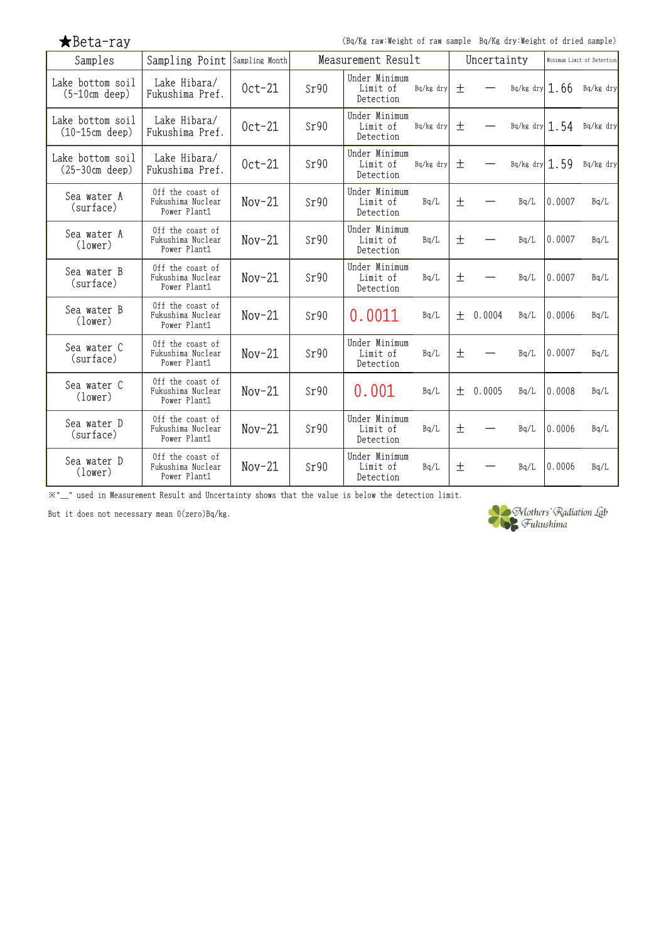| $\bigstar$ Beta-ray |  |  |  |
|---------------------|--|--|--|
|---------------------|--|--|--|

(Bq/Kg raw:Weight of raw sample Bq/Kg dry:Weight of dried sample)

| Samples                              | Sampling Point                                        | Sampling Month |      | Measurement Result                     |                 |       | Uncertainty              |                    | Minimum Limit of Detection |                            |
|--------------------------------------|-------------------------------------------------------|----------------|------|----------------------------------------|-----------------|-------|--------------------------|--------------------|----------------------------|----------------------------|
| Lake bottom soil<br>$(5-10cm$ deep)  | Lake Hibara/<br>Fukushima Pref.                       | $0ct-21$       | Sr90 | Under Minimum<br>Limit of<br>Detection | Bq/kg dry $\pm$ |       |                          | $-$ Bq/kg dry 1.66 |                            | Bq/kg dry                  |
| Lake bottom soil<br>$(10-15cm$ deep) | Lake Hibara/<br>Fukushima Pref.                       | $0ct-21$       | Sr90 | Under Minimum<br>Limit of<br>Detection | Bq/kg dry       | 土     |                          |                    |                            | Bq/kg dry $1.54$ Bq/kg dry |
| Lake bottom soil<br>$(25-30cm$ deep) | Lake Hibara/<br>Fukushima Pref.                       | $0ct-21$       | Sr90 | Under Minimum<br>Limit of<br>Detection | Bq/kg dry $\pm$ |       | $\overline{\phantom{m}}$ |                    |                            | Bq/kg dry $1.59$ Bq/kg dry |
| Sea water A<br>(surface)             | Off the coast of<br>Fukushima Nuclear<br>Power Plant1 | $Nov-21$       | Sr90 | Under Minimum<br>Limit of<br>Detection | Bq/L            | 土     |                          | Bq/L               | 0.0007                     | Bq/L                       |
| Sea water A<br>(lower)               | Off the coast of<br>Fukushima Nuclear<br>Power Plant1 | $Nov-21$       | Sr90 | Under Minimum<br>Limit of<br>Detection | Bq/L            | $\pm$ |                          | Bq/L               | 0.0007                     | Bq/L                       |
| Sea water B<br>(surface)             | Off the coast of<br>Fukushima Nuclear<br>Power Plant1 | $Nov-21$       | Sr90 | Under Minimum<br>Limit of<br>Detection | Bq/L            | 土     |                          | Bq/L               | 0.0007                     | Bq/L                       |
| Sea water B<br>(lower)               | Off the coast of<br>Fukushima Nuclear<br>Power Plant1 | $Nov-21$       | Sr90 | 0.0011                                 | Bq/L            |       | $\pm$ 0.0004             | Bq/L               | 0.0006                     | Bq/L                       |
| Sea water C<br>(surface)             | Off the coast of<br>Fukushima Nuclear<br>Power Plant1 | $Nov-21$       | Sr90 | Under Minimum<br>Limit of<br>Detection | Bq/L            | 土     |                          | Bq/L               | 0.0007                     | Bq/L                       |
| Sea water C<br>(lower)               | Off the coast of<br>Fukushima Nuclear<br>Power Plant1 | $Nov-21$       | Sr90 | 0.001                                  | Bq/L            |       | $\pm$ 0.0005             | Bq/L               | 0.0008                     | Bq/L                       |
| Sea water D<br>(surface)             | Off the coast of<br>Fukushima Nuclear<br>Power Plant1 | $Nov-21$       | Sr90 | Under Minimum<br>Limit of<br>Detection | Bq/L            | 土     |                          | Bq/L               | 0.0006                     | Bq/L                       |
| Sea water D<br>(lower)               | Off the coast of<br>Fukushima Nuclear<br>Power Plant1 | $Nov-21$       | Sr90 | Under Minimum<br>Limit of<br>Detection | Bq/L            | 土     |                          | Bq/L               | 0.0006                     | Bq/L                       |

※"\_" used in Measurement Result and Uncertainty shows that the value is below the detection limit.